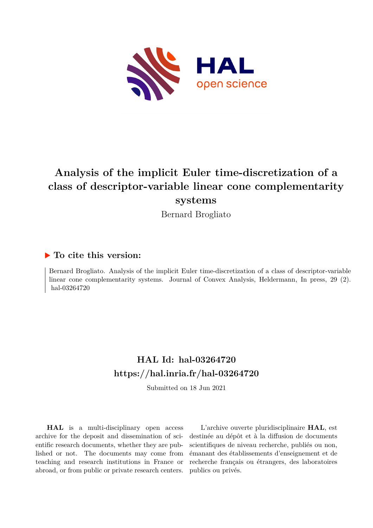

# **Analysis of the implicit Euler time-discretization of a class of descriptor-variable linear cone complementarity systems**

Bernard Brogliato

## **To cite this version:**

Bernard Brogliato. Analysis of the implicit Euler time-discretization of a class of descriptor-variable linear cone complementarity systems. Journal of Convex Analysis, Heldermann, In press, 29 (2). hal-03264720

# **HAL Id: hal-03264720 <https://hal.inria.fr/hal-03264720>**

Submitted on 18 Jun 2021

**HAL** is a multi-disciplinary open access archive for the deposit and dissemination of scientific research documents, whether they are published or not. The documents may come from teaching and research institutions in France or abroad, or from public or private research centers.

L'archive ouverte pluridisciplinaire **HAL**, est destinée au dépôt et à la diffusion de documents scientifiques de niveau recherche, publiés ou non, émanant des établissements d'enseignement et de recherche français ou étrangers, des laboratoires publics ou privés.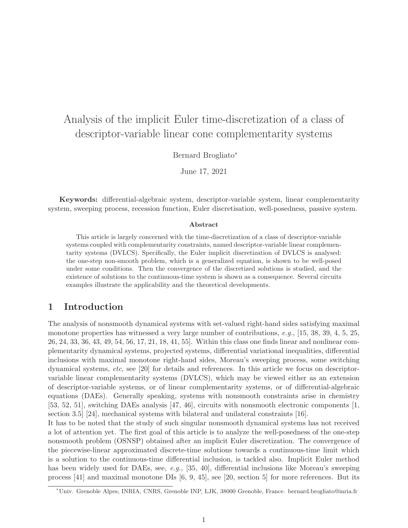# Analysis of the implicit Euler time-discretization of a class of descriptor-variable linear cone complementarity systems

Bernard Brogliato<sup>∗</sup>

June 17, 2021

Keywords: differential-algebraic system, descriptor-variable system, linear complementarity system, sweeping process, recession function, Euler discretisation, well-posedness, passive system.

#### Abstract

This article is largely concerned with the time-discretization of a class of descriptor-variable systems coupled with complementarity constraints, named descriptor-variable linear complementarity systems (DVLCS). Specifically, the Euler implicit discretization of DVLCS is analysed: the one-step non-smooth problem, which is a generalized equation, is shown to be well-posed under some conditions. Then the convergence of the discretized solutions is studied, and the existence of solutions to the continuous-time system is shown as a consequence. Several circuits examples illustrate the applicability and the theoretical developments.

## 1 Introduction

The analysis of nonsmooth dynamical systems with set-valued right-hand sides satisfying maximal monotone properties has witnessed a very large number of contributions, e.g., [15, 38, 39, 4, 5, 25, 26, 24, 33, 36, 43, 49, 54, 56, 17, 21, 18, 41, 55]. Within this class one finds linear and nonlinear complementarity dynamical systems, projected systems, differential variational inequalities, differential inclusions with maximal monotone right-hand sides, Moreau's sweeping process, some switching dynamical systems, etc, see [20] for details and references. In this article we focus on descriptorvariable linear complementarity systems (DVLCS), which may be viewed either as an extension of descriptor-variable systems, or of linear complementarity systems, or of differential-algebraic equations (DAEs). Generally speaking, systems with nonsmooth constraints arise in chemistry [53, 52, 51], switching DAEs analysis [47, 46], circuits with nonsmooth electronic components [1, section 3.5] [24], mechanical systems with bilateral and unilateral constraints [16].

It has to be noted that the study of such singular nonsmooth dynamical systems has not received a lot of attention yet. The first goal of this article is to analyze the well-posedness of the one-step nonsmooth problem (OSNSP) obtained after an implicit Euler discretization. The convergence of the piecewise-linear approximated discrete-time solutions towards a continuous-time limit which is a solution to the continuous-time differential inclusion, is tackled also. Implicit Euler method has been widely used for DAEs, see, e.g., [35, 40], differential inclusions like Moreau's sweeping process [41] and maximal monotone DIs [6, 9, 45], see [20, section 5] for more references. But its

<sup>∗</sup>Univ. Grenoble Alpes, INRIA, CNRS, Grenoble INP, LJK, 38000 Grenoble, France. bernard.brogliato@inria.fr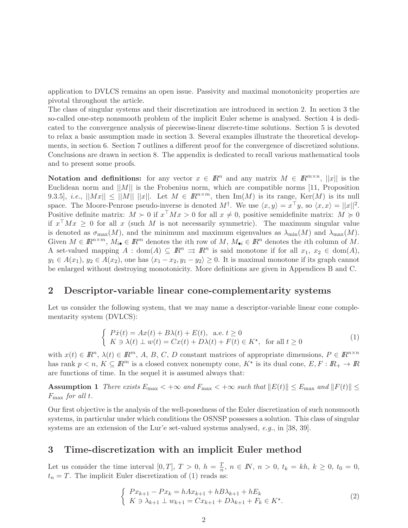application to DVLCS remains an open issue. Passivity and maximal monotonicity properties are pivotal throughout the article.

The class of singular systems and their discretization are introduced in section 2. In section 3 the so-called one-step nonsmooth problem of the implicit Euler scheme is analysed. Section 4 is dedicated to the convergence analysis of piecewise-linear discrete-time solutions. Section 5 is devoted to relax a basic assumption made in section 3. Several examples illustrate the theoretical developments, in section 6. Section 7 outlines a different proof for the convergence of discretized solutions. Conclusions are drawn in section 8. The appendix is dedicated to recall various mathematical tools and to present some proofs.

Notation and definitions: for any vector  $x \in \mathbb{R}^n$  and any matrix  $M \in \mathbb{R}^{m \times n}$ , ||x|| is the Euclidean norm and  $||M||$  is the Frobenius norm, which are compatible norms [11, Proposition 9.3.5], *i.e.*,  $||Mx|| \le ||M|| \cdot ||x||$ . Let  $M \in \mathbb{R}^{n \times m}$ , then Im(M) is its range, Ker(M) is its null space. The Moore-Penrose pseudo-inverse is denoted  $M^{\dagger}$ . We use  $\langle x, y \rangle = x^{\top}y$ , so  $\langle x, x \rangle = ||x||^2$ . Positive definite matrix:  $M \succ 0$  if  $x^{\top} M x > 0$  for all  $x \neq 0$ , positive semidefinite matrix:  $M \succ 0$ if  $x^{\dagger} M x \geq 0$  for all x (such M is not necessarily symmetric). The maximum singular value is denoted as  $\sigma_{\max}(M)$ , and the minimum and maximum eigenvalues as  $\lambda_{\min}(M)$  and  $\lambda_{\max}(M)$ . Given  $M \in \mathbb{R}^{n \times m}$ ,  $M_{i\bullet} \in \mathbb{R}^m$  denotes the *i*th row of M,  $M_{\bullet i} \in \mathbb{R}^n$  denotes the *i*th column of M. A set-valued mapping  $A : dom(A) \subseteq \mathbb{R}^n \Rightarrow \mathbb{R}^n$  is said monotone if for all  $x_1, x_2 \in dom(A)$ ,  $y_1 \in A(x_1), y_2 \in A(x_2)$ , one has  $\langle x_1 - x_2, y_1 - y_2 \rangle \geq 0$ . It is maximal monotone if its graph cannot be enlarged without destroying monotonicity. More definitions are given in Appendices B and C.

## 2 Descriptor-variable linear cone-complementarity systems

Let us consider the following system, that we may name a descriptor-variable linear cone complementarity system (DVLCS):

$$
\begin{cases}\n\overrightarrow{Px}(t) = Ax(t) + B\lambda(t) + E(t), \text{ a.e. } t \ge 0 \\
K \ni \lambda(t) \perp w(t) = Cx(t) + D\lambda(t) + F(t) \in K^*, \text{ for all } t \ge 0\n\end{cases}
$$
\n(1)

with  $x(t) \in \mathbb{R}^n$ ,  $\lambda(t) \in \mathbb{R}^m$ , A, B, C, D constant matrices of appropriate dimensions,  $P \in \mathbb{R}^{n \times n}$ has rank  $p < n$ ,  $K \subseteq \mathbb{R}^m$  is a closed convex nonempty cone,  $K^*$  is its dual cone,  $E, F: \mathbb{R}_+ \to \mathbb{R}$ are functions of time. In the sequel it is assumed always that:

Assumption 1 There exists  $E_{\text{max}} < +\infty$  and  $F_{\text{max}} < +\infty$  such that  $||E(t)|| \le E_{\text{max}}$  and  $||F(t)|| \le$  $F_{\text{max}}$  for all t.

Our first objective is the analysis of the well-posedness of the Euler discretization of such nonsmooth systems, in particular under which conditions the OSNSP possesses a solution. This class of singular systems are an extension of the Lur'e set-valued systems analysed, e.g., in [38, 39].

## 3 Time-discretization with an implicit Euler method

Let us consider the time interval [0, T],  $T > 0$ ,  $h = \frac{T}{n}$  $\frac{T}{n}$ ,  $n \in \mathbb{N}$ ,  $n > 0$ ,  $t_k = kh$ ,  $k \geq 0$ ,  $t_0 = 0$ ,  $t_n = T$ . The implicit Euler discretization of (1) reads as:

$$
\begin{cases}\nPx_{k+1} - Px_k = hAx_{k+1} + hB\lambda_{k+1} + hE_k \\
K \ni \lambda_{k+1} \perp w_{k+1} = Cx_{k+1} + D\lambda_{k+1} + F_k \in K^*.\n\end{cases} (2)
$$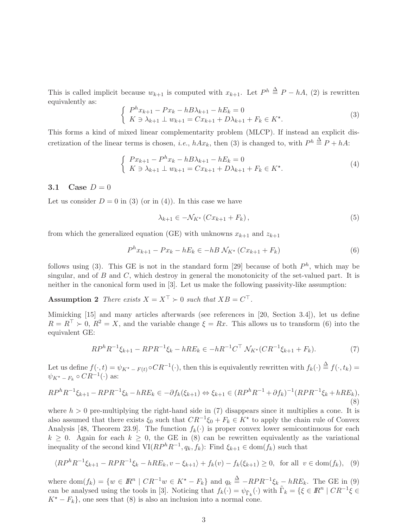This is called implicit because  $w_{k+1}$  is computed with  $x_{k+1}$ . Let  $P^h \triangleq P - hA$ , (2) is rewritten equivalently as:

$$
\begin{cases}\nP^{h}x_{k+1} - Px_{k} - hB\lambda_{k+1} - hE_{k} = 0 \\
K \ni \lambda_{k+1} \perp w_{k+1} = Cx_{k+1} + D\lambda_{k+1} + F_{k} \in K^{\star}.\n\end{cases} \tag{3}
$$

This forms a kind of mixed linear complementarity problem (MLCP). If instead an explicit discretization of the linear terms is chosen, *i.e.*,  $hAx_k$ , then (3) is changed to, with  $P^h \stackrel{\Delta}{=} P + hA$ :

$$
\begin{cases}\nPx_{k+1} - P^h x_k - hB\lambda_{k+1} - hE_k = 0 \\
K \ni \lambda_{k+1} \perp w_{k+1} = Cx_{k+1} + D\lambda_{k+1} + F_k \in K^*.\n\end{cases} \tag{4}
$$

#### 3.1 Case  $D = 0$

Let us consider  $D = 0$  in (3) (or in (4)). In this case we have

$$
\lambda_{k+1} \in -\mathcal{N}_{K^*} \left( C x_{k+1} + F_k \right),\tag{5}
$$

from which the generalized equation (GE) with unknowns  $x_{k+1}$  and  $z_{k+1}$ 

$$
P^{h}x_{k+1} - Px_k - hE_k \in -hB \mathcal{N}_{K^*} (Cx_{k+1} + F_k)
$$
\n<sup>(6)</sup>

follows using (3). This GE is not in the standard form [29] because of both  $P<sup>h</sup>$ , which may be singular, and of  $B$  and  $C$ , which destroy in general the monotonicity of the set-valued part. It is neither in the canonical form used in [3]. Let us make the following passivity-like assumption:

**Assumption 2** There exists  $X = X^{\perp} \succ 0$  such that  $XB = C^{\perp}$ .

Mimicking [15] and many articles afterwards (see references in [20, Section 3.4]), let us define  $R = R^{\top} \succ 0$ ,  $R^2 = X$ , and the variable change  $\xi = Rx$ . This allows us to transform (6) into the equivalent GE:

$$
RP^h R^{-1} \xi_{k+1} - RPR^{-1} \xi_k - hRE_k \in -hR^{-1}C^{\top} \mathcal{N}_{K^*}(CR^{-1} \xi_{k+1} + F_k). \tag{7}
$$

Let us define  $f(\cdot, t) = \psi_{K^* - F(t)} \circ CR^{-1}(\cdot)$ , then this is equivalently rewritten with  $f_k(\cdot) \stackrel{\Delta}{=} f(\cdot, t_k) =$  $\psi_{K^{\star}-F_k} \circ CR^{-1}(\cdot)$  as:

$$
RP^h R^{-1} \xi_{k+1} - RPR^{-1} \xi_k - hRE_k \in -\partial f_k(\xi_{k+1}) \Leftrightarrow \xi_{k+1} \in (RP^h R^{-1} + \partial f_k)^{-1} (RPR^{-1} \xi_k + hRE_k),
$$
\n(8)

where  $h > 0$  pre-multiplying the right-hand side in (7) disappears since it multiplies a cone. It is also assumed that there exists  $\xi_0$  such that  $CR^{-1}\xi_0 + F_k \in K^*$  to apply the chain rule of Convex Analysis [48, Theorem 23.9]. The function  $f_k(\cdot)$  is proper convex lower semicontinuous for each  $k \geq 0$ . Again for each  $k \geq 0$ , the GE in (8) can be rewritten equivalently as the variational inequality of the second kind  $VI(RP^hR^{-1}, q_k, f_k)$ : Find  $\xi_{k+1} \in \text{dom}(f_k)$  such that

$$
\langle RP^h R^{-1} \xi_{k+1} - R P R^{-1} \xi_k - h R E_k, v - \xi_{k+1} \rangle + f_k(v) - f_k(\xi_{k+1}) \ge 0, \text{ for all } v \in \text{dom}(f_k), \tag{9}
$$

where dom $(f_k) = \{w \in \mathbb{R}^n \mid CR^{-1}w \in K^* - F_k\}$  and  $q_k \triangleq -RPR^{-1}\xi_k - hRE_k$ . The GE in (9) can be analysed using the tools in [3]. Noticing that  $f_k(\cdot) = \psi_{\tilde{\Gamma}_k}(\cdot)$  with  $\tilde{\Gamma}_k = \{ \xi \in \mathbb{R}^n \mid CR^{-1} \xi \in \mathbb{R}^n \mid CR^{-1} \xi \in \mathbb{R}^n \}$  $K^* - F_k$ , one sees that (8) is also an inclusion into a normal cone.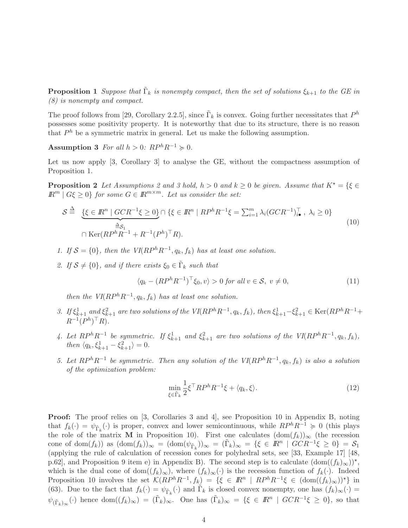**Proposition 1** Suppose that  $\tilde{\Gamma}_k$  is nonempty compact, then the set of solutions  $\xi_{k+1}$  to the GE in (8) is nonempty and compact.

The proof follows from [29, Corollary 2.2.5], since  $\tilde{\Gamma}_k$  is convex. Going further necessitates that  $P^h$ possesses some positivity property. It is noteworthy that due to its structure, there is no reason that  $P<sup>h</sup>$  be a symmetric matrix in general. Let us make the following assumption.

Assumption 3 For all  $h > 0$ :  $RP<sup>h</sup>R<sup>-1</sup> \ge 0$ .

Let us now apply [3, Corollary 3] to analyse the GE, without the compactness assumption of Proposition 1.

**Proposition 2** Let Assumptions 2 and 3 hold,  $h > 0$  and  $k \ge 0$  be given. Assume that  $K^* = \{ \xi \in$  $\mathbb{R}^m \mid G\xi \geq 0$  for some  $G \in \mathbb{R}^{m \times m}$ . Let us consider the set:

$$
S \stackrel{\Delta}{=} \underbrace{\{\xi \in \mathbb{R}^n \mid GCR^{-1}\xi \ge 0\}}_{\cap \{\xi \in \mathbb{R}^n \mid RP^hR^{-1}\xi = \sum_{i=1}^m \lambda_i (GCR^{-1})_{i\bullet}^\top, \ \lambda_i \ge 0\}}_{\cap \text{Ker}(RP^hR^{-1} + R^{-1}(P^h)^\top R).}
$$
\n(10)

- 1. If  $S = \{0\}$ , then the  $VI(RP^hR^{-1}, q_k, f_k)$  has at least one solution.
- 2. If  $S \neq \{0\}$ , and if there exists  $\xi_0 \in \tilde{\Gamma}_k$  such that

$$
\langle q_k - (RP^h R^{-1})^\top \xi_0, v \rangle > 0 \text{ for all } v \in \mathcal{S}, v \neq 0,
$$
\n
$$
(11)
$$

then the  $VI(RP^hR^{-1}, q_k, f_k)$  has at least one solution.

- 3. If  $\xi_{k+1}^1$  and  $\xi_{k+1}^2$  are two solutions of the  $VI(RP^hR^{-1}, q_k, f_k)$ , then  $\xi_{k+1}^1 \xi_{k+1}^2 \in \text{Ker}(RP^hR^{-1} +$  $R^{-1}(P^h)^\top R$ .
- 4. Let  $RP^hR^{-1}$  be symmetric. If  $\xi_{k+1}^1$  and  $\xi_{k+1}^2$  are two solutions of the  $VI(RP^hR^{-1},q_k,f_k)$ , then  $\langle q_k, \xi_{k+1}^1 - \xi_{k+1}^2 \rangle = 0.$
- 5. Let  $RP<sup>h</sup>R<sup>-1</sup>$  be symmetric. Then any solution of the  $VI(RP<sup>h</sup>R<sup>-1</sup>, q<sub>k</sub>, f<sub>k</sub>)$  is also a solution of the optimization problem:

$$
\min_{\xi \in \tilde{\Gamma}_k} \frac{1}{2} \xi^{\top} R P^h R^{-1} \xi + \langle q_k, \xi \rangle.
$$
\n(12)

**Proof:** The proof relies on [3, Corollaries 3 and 4], see Proposition 10 in Appendix B, noting that  $f_k(\cdot) = \psi_{\tilde{\Gamma}_k}(\cdot)$  is proper, convex and lower semicontinuous, while  $RP^hR^{-1} \geq 0$  (this plays the role of the matrix M in Proposition 10). First one calculates  $(\text{dom}(f_k))_{\infty}$  (the recession cone of dom $(f_k)$  as  $(\text{dom}(f_k))_{\infty} = (\text{dom}(\psi_{\tilde{\Gamma}_k}))_{\infty} = {\tilde{\Gamma}_k}_{\infty} = {\xi \in \mathbb{R}^n \mid GCR^{-1}\xi \geq 0} = S_1$ (applying the rule of calculation of recession cones for polyhedral sets, see [33, Example 17] [48, p.62], and Proposition 9 item e) in Appendix B). The second step is to calculate  $(\text{dom}((f_k)_{\infty}))^*$ , which is the dual cone of dom $((f_k)_{\infty})$ , where  $(f_k)_{\infty}(\cdot)$  is the recession function of  $f_k(\cdot)$ . Indeed Proposition 10 involves the set  $\mathcal{K}(RP^hR^{-1}, f_k) = \{\xi \in \mathbb{R}^n \mid RP^hR^{-1}\xi \in (\text{dom}((f_k)_{\infty}))^{\star}\}\$ in (63). Due to the fact that  $f_k(\cdot) = \psi_{\tilde{\Gamma}_k}(\cdot)$  and  $\tilde{\Gamma}_k$  is closed convex nonempty, one has  $(f_k)_{\infty}(\cdot)$  =  $\psi_{(\tilde{\Gamma}_k)_{\infty}}(\cdot)$  hence  $\text{dom}((f_k)_{\infty}) = (\tilde{\Gamma}_k)_{\infty}$ . One has  $(\tilde{\Gamma}_k)_{\infty} = \{\xi \in \mathbb{R}^n \mid GCR^{-1}\xi \geq 0\}$ , so that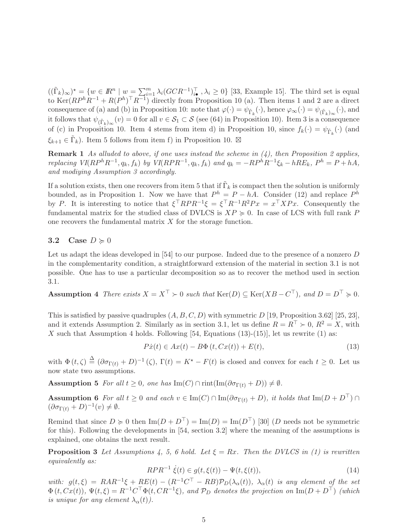$((\tilde{\Gamma}_k)_{\infty})^* = \{w \in \mathbb{R}^n \mid w = \sum_{i=1}^m \lambda_i (GCR^{-1})_{i\bullet}^\top, \lambda_i \geq 0\}$  [33, Example 15]. The third set is equal to  $\text{Ker}(RP^hR^{-1} + R(P^h)^{\top}R^{-1})$  directly from Proposition 10 (a). Then items 1 and 2 are a direct consequence of (a) and (b) in Proposition 10: note that  $\varphi(\cdot) = \psi_{\tilde{\Gamma}_k}(\cdot)$ , hence  $\varphi_{\infty}(\cdot) = \psi_{(\tilde{\Gamma}_k)_{\infty}}(\cdot)$ , and it follows that  $\psi_{(\tilde{\Gamma}_k)_{\infty}}(v) = 0$  for all  $v \in \mathcal{S}_1 \subset \mathcal{S}$  (see (64) in Proposition 10). Item 3 is a consequence of (c) in Proposition 10. Item 4 stems from item d) in Proposition 10, since  $f_k(\cdot) = \psi_{\tilde{\Gamma}_k}(\cdot)$  (and  $\xi_{k+1} \in \tilde{\Gamma}_k$ ). Item 5 follows from item f) in Proposition 10.  $\boxtimes$ 

**Remark 1** As alluded to above, if one uses instead the scheme in  $(4)$ , then Proposition 2 applies, replacing  $VI(RP^hR^{-1}, q_k, f_k)$  by  $VI(RPR^{-1}, q_k, f_k)$  and  $q_k = -RP^hR^{-1}\xi_k - hRE_k$ ,  $P^h = P + hA$ , and modiying Assumption 3 accordingly.

If a solution exists, then one recovers from item 5 that if  $\tilde{\Gamma}_k$  is compact then the solution is uniformly bounded, as in Proposition 1. Now we have that  $P^h = P - hA$ . Consider (12) and replace  $P^h$ by P. It is interesting to notice that  $\xi^{\top} RPR^{-1} \xi = \xi^{\top} R^{-1} R^2Px = x^{\top}XPx$ . Consequently the fundamental matrix for the studied class of DVLCS is  $XP \geq 0$ . In case of LCS with full rank P one recovers the fundamental matrix X for the storage function.

#### 3.2 Case  $D \geq 0$

Let us adapt the ideas developed in [54] to our purpose. Indeed due to the presence of a nonzero D in the complementarity condition, a straightforward extension of the material in section 3.1 is not possible. One has to use a particular decomposition so as to recover the method used in section 3.1.

Assumption 4 There exists  $X = X^{\top} \succ 0$  such that  $\text{Ker}(D) \subseteq \text{Ker}(XB - C^{\top})$ , and  $D = D^{\top} \succ 0$ .

This is satisfied by passive quadruples  $(A, B, C, D)$  with symmetric D [19, Proposition 3.62] [25, 23], and it extends Assumption 2. Similarly as in section 3.1, let us define  $R = R^{\top} \succ 0$ ,  $R^2 = X$ , with X such that Assumption 4 holds. Following  $[54, Equations (13)-(15)]$ , let us rewrite  $(1)$  as:

$$
P\dot{x}(t) \in Ax(t) - B\Phi(t, Cx(t)) + E(t), \qquad (13)
$$

with  $\Phi(t,\zeta) \stackrel{\Delta}{=} (\partial \sigma_{\Gamma(t)} + D)^{-1}(\zeta), \Gamma(t) = K^* - F(t)$  is closed and convex for each  $t \geq 0$ . Let us now state two assumptions.

**Assumption 5** For all  $t \geq 0$ , one has Im(C)  $\cap$  rint(Im( $\partial \sigma_{\Gamma(t)} + D$ ))  $\neq \emptyset$ .

Assumption 6 For all  $t \geq 0$  and each  $v \in \text{Im}(C) \cap \text{Im}(\partial \sigma_{\Gamma(t)} + D)$ , it holds that  $\text{Im}(D + D^{\top}) \cap$  $(\partial \sigma_{\Gamma(t)} + D)^{-1}(v) \neq \emptyset.$ 

Remind that since  $D \ge 0$  then  $\text{Im}(D + D^{\top}) = \text{Im}(D) = \text{Im}(D^{\top})$  [30] (D needs not be symmetric for this). Following the developments in [54, section 3.2] where the meaning of the assumptions is explained, one obtains the next result.

**Proposition 3** Let Assumptions 4, 5, 6 hold. Let  $\xi = Rx$ . Then the DVLCS in (1) is rewritten equivalently as:

$$
RPR^{-1} \dot{\xi}(t) \in g(t, \xi(t)) - \Psi(t, \xi(t)), \tag{14}
$$

with:  $g(t,\xi) = RAR^{-1}\xi + RE(t) - (R^{-1}C^{\top} - RB)\mathcal{P}_D(\lambda_\alpha(t)), \lambda_\alpha(t)$  is any element of the set  $\Phi(t, Cx(t)), \Psi(t, \xi) = R^{-1}C^{\top}\Phi(t, CR^{-1}\xi), \text{ and } \mathcal{P}_D \text{ denotes the projection on } \text{Im}(D + D^{\top}) \text{ (which)}$ is unique for any element  $\lambda_{\alpha}(t)$ ).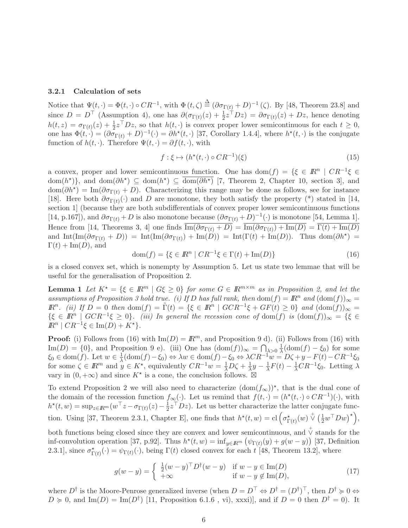#### 3.2.1 Calculation of sets

Notice that  $\Psi(t, \cdot) = \Phi(t, \cdot) \circ CR^{-1}$ , with  $\Phi(t, \zeta) \stackrel{\Delta}{=} (\partial \sigma_{\Gamma(t)} + D)^{-1} (\zeta)$ . By [48, Theorem 23.8] and since  $D = D^{\top}$  (Assumption 4), one has  $\partial(\sigma_{\Gamma(t)}(z) + \frac{1}{2}z^{\top}Dz) = \partial \sigma_{\Gamma(t)}(z) + Dz$ , hence denoting  $h(t, z) = \sigma_{\Gamma(t)}(z) + \frac{1}{2}z^{\top}Dz$ , so that  $h(t, \cdot)$  is convex proper lower semicontinuous for each  $t \geq 0$ , one has  $\Phi(t, \cdot) = (\partial \sigma_{\Gamma(t)} + D)^{-1}(\cdot) = \partial h^*(t, \cdot)$  [37, Corollary 1.4.4], where  $h^*(t, \cdot)$  is the conjugate function of  $h(t, \cdot)$ . Therefore  $\Psi(t, \cdot) = \partial f(t, \cdot)$ , with

$$
f: \xi \mapsto (h^*(t, \cdot) \circ CR^{-1})(\xi) \tag{15}
$$

a convex, proper and lower semicontinuous function. One has  $dom(f) = \{\xi \in \mathbb{R}^n \mid CR^{-1}\xi \in$  $dom(h^*)\},$  and  $dom(\partial h^*)\subseteq dom(h^*)\subseteq \overline{dom(\partial h^*)}$  [7, Theorem 2, Chapter 10, section 3], and  $dom(\partial h^*) = Im(\partial \sigma_{\Gamma(t)} + D)$ . Characterizing this range may be done as follows, see for instance [18]. Here both  $\partial \sigma_{\Gamma(t)}(\cdot)$  and D are monotone, they both satisfy the property (\*) stated in [14, section 1] (because they are both subdifferentials of convex proper lower semicontinuous functions [14, p.167]), and  $\partial \sigma_{\Gamma(t)} + D$  is also monotone because  $(\partial \sigma_{\Gamma(t)} + D)^{-1}(\cdot)$  is monotone [54, Lemma 1]. Hence from [14, Theorems 3, 4] one finds  $\text{Im}(\partial \sigma_{\Gamma(t)} + D) = \text{Im}(\partial \sigma_{\Gamma(t)}) + \text{Im}(D) = \Gamma(t) + \text{Im}(D)$ and  $\text{Int}(\text{Im}(\partial \sigma_{\Gamma(t)} + D)) = \text{Int}(\text{Im}(\partial \sigma_{\Gamma(t)}) + \text{Im}(\tilde{D})) = \text{Int}(\Gamma(t) + \text{Im}(D)).$  Thus dom $(\partial h^*)$  =  $\Gamma(t) + \text{Im}(D)$ , and

$$
\text{dom}(f) = \{ \xi \in \mathbb{R}^n \mid CR^{-1} \xi \in \Gamma(t) + \text{Im}(D) \}
$$
\n(16)

is a closed convex set, which is nonempty by Assumption 5. Let us state two lemmae that will be useful for the generalisation of Proposition 2.

**Lemma 1** Let  $K^* = \{\xi \in \mathbb{R}^m \mid G\xi \geq 0\}$  for some  $G \in \mathbb{R}^{m \times m}$  as in Proposition 2, and let the assumptions of Proposition 3 hold true. (i) If D has full rank, then  $\text{dom}(f) = \mathbb{R}^n$  and  $(\text{dom}(f))_{\infty} =$  $\mathbb{R}^n$ . (ii) If  $D = 0$  then  $\text{dom}(f) = \tilde{\Gamma}(t) = \{ \xi \in \mathbb{R}^n \mid GCR^{-1}\xi + GF(t) \ge 0 \}$  and  $(\text{dom}(f))_{\infty} =$  $\{\xi \in \mathbb{R}^n \mid GCR^{-1}\xi \geq 0\}$ . (iii) In general the recession cone of dom(f) is  $(\text{dom}(f))_{\infty} = \{\xi \in \mathbb{R}^n \mid GCR^{-1}\xi \geq 0\}$ .  $\mathbb{R}^n \mid CR^{-1}\xi \in \text{Im}(D) + K^{\star}$ .

**Proof:** (i) Follows from (16) with  $\text{Im}(D) = \mathbb{R}^m$ , and Proposition 9 d). (ii) Follows from (16) with Im(D) = {0}, and Proposition 9 e). (iii) One has  $(\text{dom}(f))_{\infty} = \bigcap_{\lambda>0} \frac{1}{\lambda}(\text{dom}(f) - \xi_0)$  for some  $\xi_0 \in \text{dom}(f)$ . Let  $w \in \frac{1}{\lambda}(\text{dom}(f) - \xi_0) \Leftrightarrow \lambda w \in \text{dom}(f) - \xi_0 \Leftrightarrow \lambda CR^{-1}w = D\zeta + y - F(t) - CR^{-1}\xi_0$ for some  $\zeta \in \mathbb{R}^m$  and  $y \in K^*$ , equivalently  $CR^{-1}w = \frac{1}{\lambda}D\zeta + \frac{1}{\lambda}y - \frac{1}{\lambda}F(t) - \frac{1}{\lambda}CR^{-1}\xi_0$ . Letting  $\lambda$ vary in  $(0, +\infty)$  and since  $K^*$  is a cone, the conclusion follows.  $\boxtimes$ 

To extend Proposition 2 we will also need to characterize  $(\text{dom}(f_{\infty}))^*$ , that is the dual cone of the domain of the recession function  $f_{\infty}(\cdot)$ . Let us remind that  $f(t, \cdot) = (h^*(t, \cdot) \circ CR^{-1})(\cdot)$ , with  $h^*(t, w) = \sup_{z \in \mathbb{R}^m} (w^\top z - \sigma_{\Gamma(t)}(z) - \frac{1}{2})$  $\frac{1}{2}z^{\dagger}Dz$ . Let us better characterize the latter conjugate function. Using [37, Theorem 2.3.1, Chapter E], one finds that  $h^*(t, w) = cl \left(\sigma_{\Gamma(t)}^*(w) \stackrel{\dagger}{\vee} \left(\frac{1}{2}w^\top D w\right)^*\right)$ ,

both functions being closed since they are convex and lower semicontinuous, and  $\overrightarrow{\vee}$  stands for the inf-convolution operation [37, p.92]. Thus  $h^*(t, w) = \inf_{y \in \mathbb{R}^m} (\psi_{\Gamma(t)}(y) + g(w - y))$  [37, Definition 2.3.1], since  $\sigma_{\Gamma(t)}^{\star}(\cdot) = \psi_{\Gamma(t)}(\cdot)$ , being  $\Gamma(t)$  closed convex for each t [48, Theorem 13.2], where

$$
g(w - y) = \begin{cases} \frac{1}{2}(w - y)^{\top} D^{\dagger}(w - y) & \text{if } w - y \in \text{Im}(D) \\ +\infty & \text{if } w - y \notin \text{Im}(D), \end{cases}
$$
(17)

where  $D^{\dagger}$  is the Moore-Penrose generalized inverse (when  $D = D^{\dagger} \Leftrightarrow D^{\dagger} = (D^{\dagger})^{\dagger}$ , then  $D^{\dagger} \succcurlyeq 0 \Leftrightarrow$  $D \ge 0$ , and  $\text{Im}(D) = \text{Im}(D^{\dagger})$  [11, Proposition 6.1.6, vi), xxxi)], and if  $D = 0$  then  $D^{\dagger} = 0$ ). It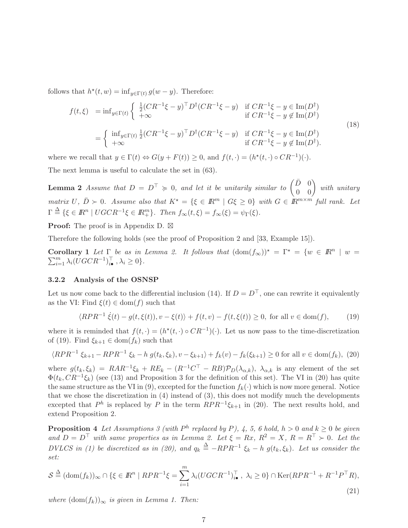follows that  $h^*(t, w) = \inf_{y \in \Gamma(t)} g(w - y)$ . Therefore:

$$
f(t,\xi) = \inf_{y \in \Gamma(t)} \begin{cases} \frac{1}{2} (CR^{-1}\xi - y)^{\top} D^{\dagger} (CR^{-1}\xi - y) & \text{if } CR^{-1}\xi - y \in \text{Im}(D^{\dagger}) \\ +\infty & \text{if } CR^{-1}\xi - y \notin \text{Im}(D^{\dagger}) \end{cases}
$$
  
= 
$$
\begin{cases} \inf_{y \in \Gamma(t)} \frac{1}{2} (CR^{-1}\xi - y)^{\top} D^{\dagger} (CR^{-1}\xi - y) & \text{if } CR^{-1}\xi - y \in \text{Im}(D^{\dagger}) \\ +\infty & \text{if } CR^{-1}\xi - y \notin \text{Im}(D^{\dagger}). \end{cases}
$$
(18)

where we recall that  $y \in \Gamma(t) \Leftrightarrow G(y + F(t)) \ge 0$ , and  $f(t, \cdot) = (h^*(t, \cdot) \circ CR^{-1})(\cdot)$ . The next lemma is useful to calculate the set in (63).

**Lemma 2** Assume that  $D = D^{\top} \ge 0$ , and let it be unitarily similar to  $\begin{pmatrix} \bar{D} & 0 \\ 0 & 0 \end{pmatrix}$  with unitary matrix U,  $\bar{D} \succ 0$ . Assume also that  $K^* = \{\xi \in \mathbb{R}^m \mid G\xi \geq 0\}$  with  $G \in \mathbb{R}^{m \times m'}$  full rank. Let  $\Gamma \stackrel{\Delta}{=} \{ \xi \in \mathbb{R}^n \mid UGCR^{-1}\xi \in \mathbb{R}^m_+ \}.$  Then  $f_{\infty}(t,\xi) = f_{\infty}(\xi) = \psi_{\Gamma}(\xi)$ .

Proof: The proof is in Appendix D. ⊠

Therefore the following holds (see the proof of Proposition 2 and [33, Example 15]).

**Corollary 1** Let  $\Gamma$  be as in Lemma 2. It follows that  $(\text{dom}(f_{\infty}))^* = \Gamma^* = \{w \in \mathbb{R}^n \mid w = \mathbb{R}^n \mid w = \mathbb{R}^n \mid w = \mathbb{R}^n$  $\sum_{i=1}^{m} \lambda_i (UGCR^{-1})_{i\bullet}^{\top}, \lambda_i \geq 0 \}.$ 

#### 3.2.2 Analysis of the OSNSP

Let us now come back to the differential inclusion (14). If  $D = D^{\top}$ , one can rewrite it equivalently as the VI: Find  $\xi(t) \in \text{dom}(f)$  such that

$$
\langle RPR^{-1}\dot{\xi}(t) - g(t,\xi(t)), v - \xi(t) \rangle + f(t,v) - f(t,\xi(t)) \ge 0, \text{ for all } v \in \text{dom}(f), \tag{19}
$$

where it is reminded that  $f(t, \cdot) = (h^*(t, \cdot) \circ CR^{-1})(\cdot)$ . Let us now pass to the time-discretization of (19). Find  $\xi_{k+1} \in \text{dom}(f_k)$  such that

$$
\langle RPR^{-1} \xi_{k+1} - RPR^{-1} \xi_k - h \ g(t_k, \xi_k), v - \xi_{k+1} \rangle + f_k(v) - f_k(\xi_{k+1}) \ge 0 \text{ for all } v \in \text{dom}(f_k), \tag{20}
$$

where  $g(t_k, \xi_k) = RAR^{-1}\xi_k + RE_k - (R^{-1}C^{\top} - RB)\mathcal{P}_D(\lambda_{\alpha,k}), \lambda_{\alpha,k}$  is any element of the set  $\Phi(t_k, CR^{-1}\xi_k)$  (see (13) and Proposition 3 for the definition of this set). The VI in (20) has quite the same structure as the VI in (9), excepted for the function  $f_k(\cdot)$  which is now more general. Notice that we chose the discretization in (4) instead of (3), this does not modify much the developments excepted that  $P^h$  is replaced by P in the term  $RPR^{-1}\xi_{k+1}$  in (20). The next results hold, and extend Proposition 2.

**Proposition 4** Let Assumptions 3 (with  $P^h$  replaced by P), 4, 5, 6 hold,  $h > 0$  and  $k \ge 0$  be given and  $D = D^{\top}$  with same properties as in Lemma 2. Let  $\xi = Rx, R^2 = X, R = R^{\top} > 0$ . Let the DVLCS in (1) be discretized as in (20), and  $q_k \triangleq -RPR^{-1} \xi_k - h g(t_k, \xi_k)$ . Let us consider the set:

$$
\mathcal{S} \stackrel{\Delta}{=} (\text{dom}(f_k))_{\infty} \cap \{\xi \in \mathbb{R}^n \mid RPR^{-1}\xi = \sum_{i=1}^m \lambda_i (UGCR^{-1})_{i\bullet}^\top, \ \lambda_i \ge 0\} \cap \text{Ker}(RPR^{-1} + R^{-1}P^\top R),\tag{21}
$$

where  $(\text{dom}(f_k))_{\infty}$  is given in Lemma 1. Then: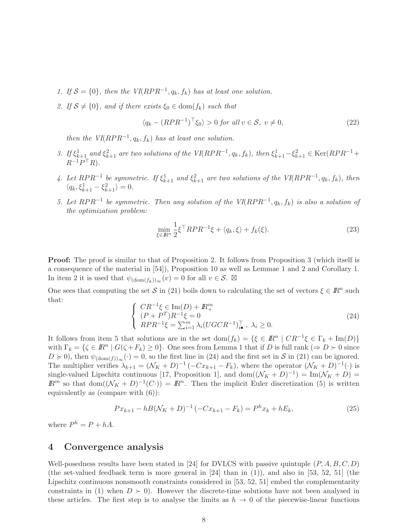- 1. If  $S = \{0\}$ , then the  $VI(RPR^{-1}, q_k, f_k)$  has at least one solution.
- 2. If  $S \neq \{0\}$ , and if there exists  $\xi_0 \in \text{dom}(f_k)$  such that

$$
\langle q_k - (RPR^{-1})^\top \xi_0 \rangle > 0 \text{ for all } v \in \mathcal{S}, v \neq 0,
$$
\n
$$
(22)
$$

then the  $VI(RPR^{-1}, q_k, f_k)$  has at least one solution.

- 3. If  $\xi_{k+1}^1$  and  $\xi_{k+1}^2$  are two solutions of the VI(RPR<sup>-1</sup>, q<sub>k</sub>, f<sub>k</sub>), then  $\xi_{k+1}^1 \xi_{k+1}^2 \in \text{Ker}(RPR^{-1} +$  $R^{-1}P^{\top}R$ ).
- 4. Let  $RPR^{-1}$  be symmetric. If  $\xi_{k+1}^1$  and  $\xi_{k+1}^2$  are two solutions of the VI( $RPR^{-1}, q_k, f_k$ ), then  $\langle q_k, \xi_{k+1}^1 - \xi_{k+1}^2 \rangle = 0.$
- 5. Let  $RPR^{-1}$  be symmetric. Then any solution of the  $VI(RPR^{-1}, q_k, f_k)$  is also a solution of the optimization problem:

$$
\min_{\xi \in \mathbb{R}^n} \frac{1}{2} \xi^\top RPR^{-1} \xi + \langle q_k, \xi \rangle + f_k(\xi). \tag{23}
$$

**Proof:** The proof is similar to that of Proposition 2. It follows from Proposition 3 (which itself is a consequence of the material in [54]), Proposition 10 as well as Lemmae 1 and 2 and Corollary 1. In item 2 it is used that  $\psi_{(\text{dom}(f_k))_{\infty}}(v) = 0$  for all  $v \in \mathcal{S}$ .  $\boxtimes$ 

One sees that computing the set S in (21) boils down to calculating the set of vectors  $\xi \in \mathbb{R}^n$  such that:

$$
\begin{cases}\nCR^{-1}\xi \in \text{Im}(D) + \mathbb{R}^m_+ \\
(P + P^T)R^{-1}\xi = 0 \\
RPR^{-1}\xi = \sum_{i=1}^m \lambda_i (UGCR^{-1})_{i\bullet}^{\top}, \ \lambda_i \ge 0.\n\end{cases} \tag{24}
$$

It follows from item 5 that solutions are in the set  $dom(f_k) = \{ \xi \in \mathbb{R}^n \mid CR^{-1} \xi \in \Gamma_k + \text{Im}(D) \}$ with  $\Gamma_k = \{ \zeta \in \mathbb{R}^n \mid G(\zeta + F_k) \ge 0 \}$ . One sees from Lemma 1 that if D is full rank  $(\Rightarrow D \succ 0$  since  $D \ge 0$ , then  $\psi_{(\text{dom}(f))_{\infty}}(\cdot) = 0$ , so the first line in (24) and the first set in S in (21) can be ignored. The multiplier verifies  $\lambda_{k+1} = (\mathcal{N}_K + D)^{-1}(-Cx_{k+1} - F_k)$ , where the operator  $(\mathcal{N}_K + D)^{-1}(\cdot)$  is single-valued Lipschitz continuous [17, Proposition 1], and  $dom((\mathcal{N}_K + D)^{-1}) = Im(\mathcal{N}_K + D)$  =  $\mathbb{R}^m$  so that  $\text{dom}((\mathcal{N}_K + D)^{-1}(C)) = \mathbb{R}^n$ . Then the implicit Euler discretization (5) is written equivalently as (compare with (6)):

$$
Px_{k+1} - hB(\mathcal{N}_K + D)^{-1}(-Cx_{k+1} - F_k) = P^h x_k + hE_k,
$$
\n(25)

where  $P^h = P + hA$ .

## 4 Convergence analysis

Well-posedness results have been stated in [24] for DVLCS with passive quintuple  $(P, A, B, C, D)$ (the set-valued feedback term is more general in  $[24]$  than in  $(1)$ ), and also in  $[53, 52, 51]$  (the Lipschitz continuous nonsmooth constraints considered in [53, 52, 51] embed the complementarity constraints in (1) when  $D \succ 0$ . However the discrete-time solutions have not been analysed in these articles. The first step is to analyse the limits as  $h \to 0$  of the piecewise-linear functions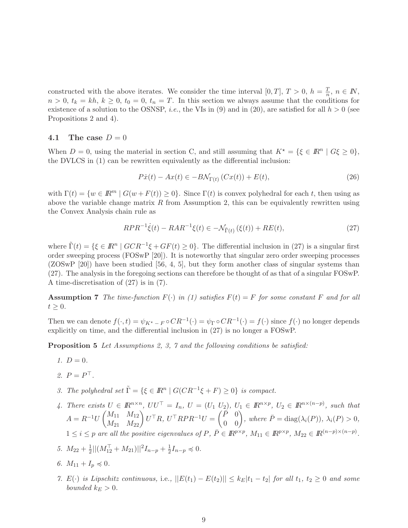constructed with the above iterates. We consider the time interval [0, T],  $T > 0$ ,  $h = \frac{T}{n}$  $\frac{1}{n}, n \in \mathbb{N},$  $n > 0$ ,  $t_k = kh$ ,  $k \geq 0$ ,  $t_0 = 0$ ,  $t_n = T$ . In this section we always assume that the conditions for existence of a solution to the OSNSP, *i.e.*, the VIs in (9) and in (20), are satisfied for all  $h > 0$  (see Propositions 2 and 4).

#### 4.1 The case  $D=0$

When  $D = 0$ , using the material in section C, and still assuming that  $K^* = \{ \xi \in \mathbb{R}^n \mid G\xi \geq 0 \},\$ the DVLCS in (1) can be rewritten equivalently as the differential inclusion:

$$
P\dot{x}(t) - Ax(t) \in -B\mathcal{N}_{\Gamma(t)}\left(Cx(t)\right) + E(t),\tag{26}
$$

with  $\Gamma(t) = \{w \in \mathbb{R}^m \mid G(w + F(t)) \geq 0\}$ . Since  $\Gamma(t)$  is convex polyhedral for each t, then using as above the variable change matrix  $R$  from Assumption 2, this can be equivalently rewritten using the Convex Analysis chain rule as

$$
RPR^{-1}\dot{\xi}(t) - RAR^{-1}\xi(t) \in -\mathcal{N}_{\tilde{\Gamma}(t)}(\xi(t)) + RE(t),\tag{27}
$$

where  $\tilde{\Gamma}(t) = \{ \xi \in \mathbb{R}^n \mid GCR^{-1}\xi + GF(t) \ge 0 \}.$  The differential inclusion in (27) is a singular first order sweeping process (FOSwP [20]). It is noteworthy that singular zero order sweeping processes (ZOSwP [20]) have been studied [56, 4, 5], but they form another class of singular systems than (27). The analysis in the foregoing sections can therefore be thought of as that of a singular FOSwP. A time-discretisation of (27) is in (7).

**Assumption 7** The time-function  $F(\cdot)$  in (1) satisfies  $F(t) = F$  for some constant F and for all  $t \geq 0$ .

Then we can denote  $f(\cdot, t) = \psi_{K^* - F} \circ CR^{-1}(\cdot) = \psi_{\Gamma} \circ CR^{-1}(\cdot) = f(\cdot)$  since  $f(\cdot)$  no longer depends explicitly on time, and the differential inclusion in (27) is no longer a FOSwP.

Proposition 5 Let Assumptions 2, 3, 7 and the following conditions be satisfied:

- 1.  $D = 0$ .
- 2.  $P = P^{\perp}$ .
- 3. The polyhedral set  $\tilde{\Gamma} = \{ \xi \in \mathbb{R}^n \mid G(CR^{-1}\xi + F) \ge 0 \}$  is compact.
- 4. There exists  $U \in \mathbb{R}^{n \times n}$ ,  $UU^{\top} = I_n$ ,  $U = (U_1 \ U_2)$ ,  $U_1 \in \mathbb{R}^{n \times p}$ ,  $U_2 \in \mathbb{R}^{n \times (n-p)}$ , such that  $A = R^{-1}U \begin{pmatrix} M_{11} & M_{12} \ M_{21} & M_{22} \end{pmatrix} U^{\top}R$ ,  $U^{\top}RPR^{-1}U = \begin{pmatrix} \vec{P} & 0 \ 0 & 0 \end{pmatrix}$ , where  $\vec{P} = \text{diag}(\lambda_i(P))$ ,  $\lambda_i(P) > 0$ ,  $1 \leq i \leq p$  are all the positive eigenvalues of  $P, \overline{P} \in \mathbb{R}^{p \times p}, M_{11} \in \mathbb{R}^{p \times p}, M_{22} \in \mathbb{R}^{(n-p) \times (n-p)}$ .
- 5.  $M_{22} + \frac{1}{2}$  $\frac{1}{2}|| (M_{12}^\top + M_{21})||^2 I_{n-p} + \frac{1}{2}$  $\frac{1}{2}I_{n-p}\preccurlyeq 0.$
- 6.  $M_{11} + I_n \leq 0$ .
- 7. E(·) is Lipschitz continuous, i.e.,  $||E(t_1) E(t_2)|| \le k_E |t_1 t_2|$  for all  $t_1, t_2 \ge 0$  and some bounded  $k_E > 0$ .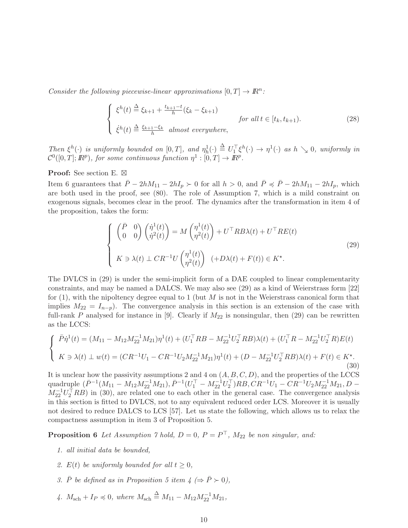Consider the following piecewise-linear approximations  $[0, T] \rightarrow \mathbb{R}^n$ :

$$
\begin{cases} \xi^{h}(t) \stackrel{\Delta}{=} \xi_{k+1} + \frac{t_{k+1} - t}{h} (\xi_{k} - \xi_{k+1}) \\ \dot{\xi}^{h}(t) \stackrel{\Delta}{=} \frac{\xi_{k+1} - \xi_{k}}{h} \text{ almost everywhere,} \end{cases} \quad \text{for all } t \in [t_{k}, t_{k+1}). \tag{28}
$$

Then  $\xi^h(\cdot)$  is uniformly bounded on  $[0,T]$ , and  $\eta^1_h(\cdot) \triangleq U_1^{\top} \xi^h(\cdot) \to \eta^1(\cdot)$  as  $h \searrow 0$ , uniformly in  $\mathcal{C}^0([0,T];\mathbb{R}^p)$ , for some continuous function  $\eta^1:[0,T]\to\mathbb{R}^p$ .

Proof: See section E. ⊠

Item 6 guarantees that  $\bar{P} - 2hM_{11} - 2hI_p \succ 0$  for all  $h > 0$ , and  $\bar{P} \preccurlyeq \bar{P} - 2hM_{11} - 2hI_p$ , which are both used in the proof, see (80). The role of Assumption 7, which is a mild constraint on exogenous signals, becomes clear in the proof. The dynamics after the transformation in item 4 of the proposition, takes the form:

$$
\begin{cases}\n\begin{pmatrix}\n\bar{P} & 0 \\
0 & 0\n\end{pmatrix}\n\begin{pmatrix}\n\dot{\eta}^1(t) \\
\dot{\eta}^2(t)\n\end{pmatrix} = M \begin{pmatrix}\n\eta^1(t) \\
\eta^2(t)\n\end{pmatrix} + U^\top R B \lambda(t) + U^\top R E(t) \\
K \ni \lambda(t) \perp C R^{-1} U \begin{pmatrix}\n\eta^1(t) \\
\eta^2(t)\n\end{pmatrix} \quad (+D\lambda(t) + F(t)) \in K^\star.\n\end{cases} \tag{29}
$$

The DVLCS in (29) is under the semi-implicit form of a DAE coupled to linear complementarity constraints, and may be named a DALCS. We may also see (29) as a kind of Weierstrass form [22] for  $(1)$ , with the nipoltency degree equal to 1 (but M is not in the Weierstrass canonical form that implies  $M_{22} = I_{n-p}$ . The convergence analysis in this section is an extension of the case with full-rank P analysed for instance in [9]. Clearly if  $M_{22}$  is nonsingular, then (29) can be rewritten as the LCCS:

$$
\begin{cases}\n\bar{P}\dot{\eta}^{1}(t) = (M_{11} - M_{12}M_{22}^{-1}M_{21})\eta^{1}(t) + (U_{1}^{\top}RB - M_{22}^{-1}U_{2}^{\top}RB)\lambda(t) + (U_{1}^{\top}R - M_{22}^{-1}U_{2}^{\top}R)E(t) \\
K \ni \lambda(t) \perp w(t) = (CR^{-1}U_{1} - CR^{-1}U_{2}M_{22}^{-1}M_{21})\eta^{1}(t) + (D - M_{22}^{-1}U_{2}^{\top}RB)\lambda(t) + F(t) \in K^{\star}.\n\end{cases}
$$
\n(30)

It is unclear how the passivity assumptions 2 and 4 on  $(A, B, C, D)$ , and the properties of the LCCS quadruple  $(\bar{P}^{-1}(M_{11}-M_{12}M_{22}^{-1}M_{21}), \bar{P}^{-1}(U_{1}^{T}-M_{22}^{-1}U_{2}^{T})RB, CR^{-1}U_{1}-CR^{-1}U_{2}M_{22}^{-1}M_{21}, D M_{22}^{-1}U_2^{\top}RB$ ) in (30), are related one to each other in the general case. The convergence analysis in this section is fitted to DVLCS, not to any equivalent reduced order LCS. Moreover it is usually not desired to reduce DALCS to LCS [57]. Let us state the following, which allows us to relax the compactness assumption in item 3 of Proposition 5.

**Proposition 6** Let Assumption 7 hold,  $D = 0$ ,  $P = P<sup>+</sup>$ ,  $M_{22}$  be non singular, and:

- 1. all initial data be bounded,
- 2.  $E(t)$  be uniformly bounded for all  $t \geq 0$ ,
- 3.  $\bar{P}$  be defined as in Proposition 5 item  $4 \ (\Rightarrow \bar{P} \succ 0),$
- 4.  $M_{\rm sch} + I_P \leq 0$ , where  $M_{\rm sch} \triangleq M_{11} M_{12} M_{22}^{-1} M_{21}$ ,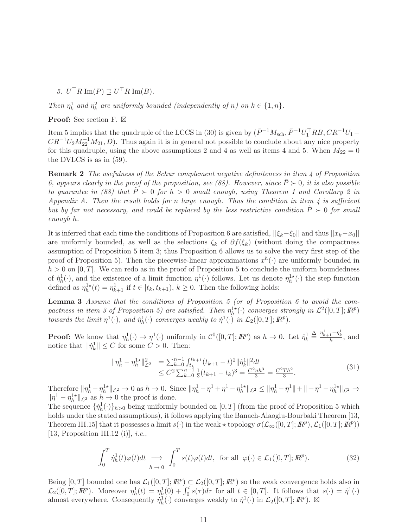5.  $U<sup>\perp</sup>R \operatorname{Im}(P) \supseteq U<sup>\perp</sup>R \operatorname{Im}(B)$ .

Then  $\eta_k^1$  and  $\eta_k^2$  are uniformly bounded (independently of n) on  $k \in \{1, n\}$ .

Proof: See section F. ⊠

Item 5 implies that the quadruple of the LCCS in (30) is given by  $(\bar{P}^{-1}M_{\rm sch}, \bar{P}^{-1}U_1^{\top}RB, CR^{-1}U_1 CR^{-1}U_2M_{22}^{-1}M_{21}, D$ . Thus again it is in general not possible to conclude about any nice property for this quadruple, using the above assumptions 2 and 4 as well as items 4 and 5. When  $M_{22} = 0$ the DVLCS is as in (59).

Remark 2 The usefulness of the Schur complement negative definiteness in item 4 of Proposition 6, appears clearly in the proof of the proposition, see (88). However, since  $\bar{P} \succ 0$ , it is also possible to guarantee in (88) that  $\tilde{P} \succ 0$  for  $h > 0$  small enough, using Theorem 1 and Corollary 2 in Appendix A. Then the result holds for n large enough. Thus the condition in item  $\frac{1}{4}$  is sufficient but by far not necessary, and could be replaced by the less restrictive condition  $\tilde{P} \succ 0$  for small enough h.

It is inferred that each time the conditions of Proposition 6 are satisfied,  $||\xi_k-\xi_0||$  and thus  $||x_k-x_0||$ are uniformly bounded, as well as the selections  $\zeta_k$  of  $\partial f(\xi_k)$  (without doing the compactness assumption of Proposition 5 item 3; thus Proposition 6 allows us to solve the very first step of the proof of Proposition 5). Then the piecewise-linear approximations  $x^h(\cdot)$  are uniformly bounded in  $h > 0$  on  $[0, T]$ . We can redo as in the proof of Proposition 5 to conclude the uniform boundedness of  $\eta_h^1(\cdot)$ , and the existence of a limit function  $\eta^1(\cdot)$  follows. Let us denote  $\eta_h^{1*}(\cdot)$  the step function defined as  $\eta_h^{1*}(t) = \eta_{k+1}^1$  if  $t \in [t_k, t_{k+1}), k \ge 0$ . Then the following holds:

Lemma 3 Assume that the conditions of Proposition 5 (or of Proposition 6 to avoid the compactness in item 3 of Proposition 5) are satisfied. Then  $\eta_h^{1\star}(\cdot)$  converges strongly in  $\mathcal{L}^2([0,T];I\!\!R^p)$ towards the limit  $\eta^1(\cdot)$ , and  $\dot{\eta}_h^1(\cdot)$  converges weakly to  $\dot{\eta}^1(\cdot)$  in  $\mathcal{L}_2([0,T];\mathbb{R}^p)$ .

**Proof:** We know that  $\eta_h^1(\cdot) \to \eta^1(\cdot)$  uniformly in  $\mathcal{C}^0([0,T];\mathbb{R}^p)$  as  $h \to 0$ . Let  $\dot{\eta}_k^1 \triangleq \frac{\eta_{k+1}^1 - \eta_k^1}{h}$ , and notice that  $||\dot{\eta}_k^1|| \le C$  for some  $C > 0$ . Then:

$$
\begin{aligned} \|\eta_h^1 - \eta_h^{1\star}\|_{\mathcal{L}^2}^2 &= \sum_{k=0}^{n-1} \int_{t_k}^{t_{k+1}} (t_{k+1} - t)^2 \|\dot{\eta}_k^1\|^2 dt \\ &\le C^2 \sum_{k=0}^{n-1} \frac{1}{3} (t_{k+1} - t_k)^3 = \frac{C^2 n h^3}{3} = \frac{C^2 T h^2}{3}. \end{aligned} \tag{31}
$$

Therefore  $\|\eta_h^1 - \eta_h^{1*}\|_{\mathcal{L}^2} \to 0$  as  $h \to 0$ . Since  $\|\eta_h^1 - \eta^1 + \eta^1 - \eta_h^{1*}\|_{\mathcal{L}^2} \le \|\eta_h^1 - \eta^1\| + \|\eta^1 - \eta_h^{1*}\|_{\mathcal{L}^2} \to$  $\|\eta^{1} - \eta_{h}^{1*}\|_{\mathcal{L}^{2}}$  as  $h \to 0$  the proof is done.

The sequence  $\{\dot{\eta}_h^1(\cdot)\}_{h>0}$  being uniformly bounded on  $[0,T]$  (from the proof of Proposition 5 which holds under the stated assumptions), it follows applying the Banach-Alaoglu-Bourbaki Theorem [13, Theorem III.15] that it possesses a limit  $s(\cdot)$  in the weak  $\star$  topology  $\sigma(\mathcal{L}_{\infty}([0,T]; \mathbb{R}^p), \mathcal{L}_{1}([0,T]; \mathbb{R}^p))$ [13, Proposition III.12 (i)], *i.e.*,

$$
\int_0^T \dot{\eta}_h^1(t)\varphi(t)dt \longrightarrow \int_0^T s(t)\varphi(t)dt, \text{ for all } \varphi(\cdot) \in \mathcal{L}_1([0,T];\mathbb{R}^p). \tag{32}
$$

Being  $[0, T]$  bounded one has  $\mathcal{L}_1([0, T]; \mathbb{R}^p) \subset \mathcal{L}_2([0, T]; \mathbb{R}^p)$  so the weak convergence holds also in  $\mathcal{L}_2([0,T];\mathbb{R}^p)$ . Moreover  $\eta^1_h(t) = \eta^1_h(0) + \int_0^t s(\tau) d\tau$  for all  $t \in [0,T]$ . It follows that  $s(\cdot) = \eta^1(\cdot)$ almost everywhere. Consequently  $\eta_h^1(\cdot)$  converges weakly to  $\eta^1(\cdot)$  in  $\mathcal{L}_2([0,T];\mathbb{R}^p)$ .  $\boxtimes$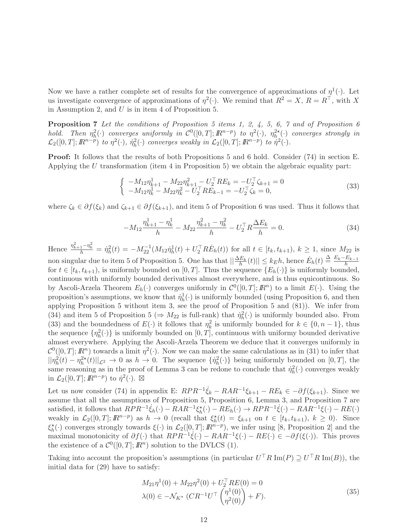Now we have a rather complete set of results for the convergence of approximations of  $\eta^1(\cdot)$ . Let us investigate convergence of approximations of  $\eta^2(\cdot)$ . We remind that  $R^2 = X$ ,  $R = R^{\top}$ , with X in Assumption 2, and  $U$  is in item 4 of Proposition 5.

Proposition 7 Let the conditions of Proposition 5 items 1, 2, 4, 5, 6, 7 and of Proposition 6 hold. Then  $\eta_h^2(\cdot)$  converges uniformly in  $\mathcal{C}^0([0,T];\mathbb{R}^{n-p})$  to  $\eta^2(\cdot)$ ,  $\eta_h^{2\star}(\cdot)$  converges strongly in  $\mathcal{L}_2([0,T];\mathbb{R}^{n-p})$  to  $\eta^2(\cdot), \dot{\eta}_h^2(\cdot)$  converges weakly in  $\mathcal{L}_2([0,T];\mathbb{R}^{n-p})$  to  $\dot{\eta}^2(\cdot)$ .

Proof: It follows that the results of both Propositions 5 and 6 hold. Consider (74) in section E. Applying the U transformation (item 4 in Proposition 5) we obtain the algebraic equality part:

$$
\begin{cases}\n-M_{12}\eta_{k+1}^{1} - M_{22}\eta_{k+1}^{2} - U_{2}^{\top}RE_{k} = -U_{2}^{\top}\zeta_{k+1} = 0\\
-M_{12}\eta_{k}^{1} - M_{22}\eta_{k}^{2} - U_{2}^{\top}RE_{k-1} = -U_{2}^{\top}\zeta_{k} = 0,\n\end{cases}
$$
\n(33)

where  $\zeta_k \in \partial f(\xi_k)$  and  $\zeta_{k+1} \in \partial f(\xi_{k+1})$ , and item 5 of Proposition 6 was used. Thus it follows that

$$
-M_{12}\frac{\eta_{k+1}^1 - \eta_k^1}{h} - M_{22}\frac{\eta_{k+1}^2 - \eta_k^2}{h} - U_2^{\top}R\frac{\Delta E_k}{h} = 0.
$$
\n(34)

Hence  $\frac{\eta_{k+1}^2 - \eta_k^2}{h} = \dot{\eta}_h^2(t) = -M_{22}^{-1}(M_{12}\dot{\eta}_h^1(t) + U_2^\top R\dot{E}_h(t))$  for all  $t \in [t_k, t_{k+1}), k \ge 1$ , since  $M_{22}$  is non singular due to item 5 of Proposition 5. One has that  $||\frac{\Delta E_k}{h}(t)|| \leq k_E h$ , hence  $\dot{E}_h(t) \stackrel{\Delta}{=} \frac{E_k - E_{k-1}}{h}$ for  $t \in [t_k, t_{k+1})$ , is uniformly bounded on  $[0, T]$ . Thus the sequence  $\{E_h(\cdot)\}\$ is uniformly bounded, continuous with uniformly bounded derivatives almost everywhere, and is thus equicontinuous. So by Ascoli-Arzela Theorem  $E_h(\cdot)$  converges uniformly in  $\mathcal{C}^0([0,T];\mathbb{R}^n)$  to a limit  $E(\cdot)$ . Using the proposition's assumptions, we know that  $\dot{\eta}_h^1(\cdot)$  is uniformly bounded (using Proposition 6, and then applying Proposition 5 without item 3, see the proof of Proposition 5 and (81)). We infer from (34) and item 5 of Proposition 5 ( $\Rightarrow M_{22}$  is full-rank) that  $\eta_h^2(\cdot)$  is uniformly bounded also. From (33) and the boundedness of  $E(\cdot)$  it follows that  $\eta_k^2$  is uniformly bounded for  $k \in \{0, n-1\}$ , thus the sequence  $\{\eta_h^2(\cdot)\}\$ is uniformly bounded on  $[0, T]$ , continuous with uniformy bounded derivative almost everywhere. Applying the Ascoli-Arzela Theorem we deduce that it converges uniformly in  $\mathcal{C}^0([0,T];\mathbb{R}^n)$  towards a limit  $\eta^2(\cdot)$ . Now we can make the same calculations as in (31) to infer that  $||\eta_h^2(t) - \eta_h^{2*}(t)||_{\mathcal{L}^2} \to 0$  as  $h \to 0$ . The sequence  $\{\eta_h^2(\cdot)\}\$  being uniformly bounded on  $[0, T]$ , the same reasoning as in the proof of Lemma 3 can be redone to conclude that  $\eta_h^2(\cdot)$  converges weakly in  $\mathcal{L}_2([0,T];\mathbb{R}^{n-p})$  to  $\dot{\eta}^2(\cdot)$ .  $\boxtimes$ 

Let us now consider (74) in appendix E:  $RPR^{-1}\dot{\xi}_k - RAR^{-1}\xi_{k+1} - RE_k \in -\partial f(\xi_{k+1})$ . Since we assume that all the assumptions of Proposition 5, Proposition 6, Lemma 3, and Proposition 7 are satisfied, it follows that  $RPR^{-1}\dot{\xi}_h(\cdot) - RAR^{-1}\xi_h^{\star}(\cdot) - RE_h(\cdot) \rightarrow RPR^{-1}\dot{\xi}(\cdot) - RAR^{-1}\xi(\cdot) - RE(\cdot)$ weakly in  $\mathcal{L}_2([0,T];\mathbb{R}^{n-p})$  as  $h \to 0$  (recall that  $\xi_h^*(t) = \xi_{k+1}$  on  $t \in [t_k, t_{k+1}), k \ge 0$ ). Since  $\xi_h^{\star}(\cdot)$  converges strongly towards  $\xi(\cdot)$  in  $\mathcal{L}_2([0,T];\mathbb{R}^{n-p})$ , we infer using [8, Proposition 2] and the maximal monotonicity of  $\partial f(\cdot)$  that  $RPR^{-1}\dot{\xi}(\cdot) - RAR^{-1}\xi(\cdot) - RE(\cdot) \in -\partial f(\xi(\cdot))$ . This proves the existence of a  $\mathcal{C}^0([0,T];\mathbb{R}^n)$  solution to the DVLCS (1).

Taking into account the proposition's assumptions (in particular  $U<sup>+</sup>R \operatorname{Im}(P) \supseteq U<sup>+</sup>R \operatorname{Im}(B)$ ), the initial data for (29) have to satisfy:

$$
M_{21}\eta^{1}(0) + M_{22}\eta^{2}(0) + U_{2}^{\top}RE(0) = 0
$$
  

$$
\lambda(0) \in -\mathcal{N}_{K^*} (CR^{-1}U^{\top} \begin{pmatrix} \eta^{1}(0) \\ \eta^{2}(0) \end{pmatrix} + F).
$$
 (35)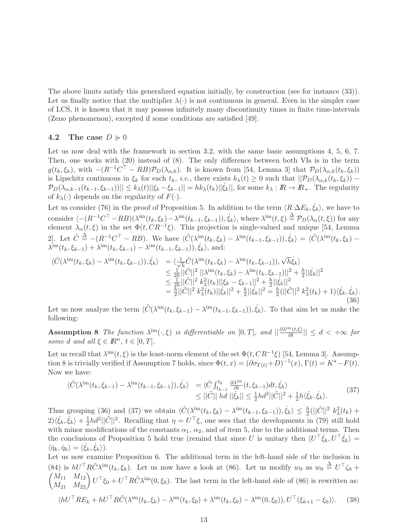The above limits satisfy this generalized equation initially, by construction (see for instance (33)). Let us finally notice that the multiplier  $\lambda(\cdot)$  is not continuous in general. Even in the simpler case of LCS, it is known that it may possess infinitely many discontinuity times in finite time-intervals (Zeno phenomenon), excepted if some conditions are satisfied [49].

#### 4.2 The case  $D \ge 0$

Let us now deal with the framework in section 3.2, with the same basic assumptions 4, 5, 6, 7. Then, one works with (20) instead of (8). The only difference between both VIs is in the term  $g(t_k, \xi_k)$ , with  $-(R^{-1}C^{\top} - RB)\mathcal{P}_D(\lambda_{\alpha,k})$ . It is known from [54, Lemma 3] that  $\mathcal{P}_D(\lambda_{\alpha,k}(t_k, \xi_k))$ is Lipschitz continuous in  $\xi_k$  for each  $t_k$ , *i.e.*, there exists  $k_\lambda(t) \geq 0$  such that  $||\mathcal{P}_D(\lambda_{\alpha,k}(t_k,\xi_k)) \mathcal{P}_D(\lambda_{\alpha,k-1}(t_{k-1},\xi_{k-1}))\|\leq k_\lambda(t)\|\xi_k-\xi_{k-1}\|=hk_\lambda(t_k)\|\xi_k\|,$  for some  $k_\lambda:\mathbb{R}\to\mathbb{R}_+$ . The regularity of  $k_{\lambda}(\cdot)$  depends on the regularity of  $F(\cdot)$ .

Let us consider (76) in the proof of Proposition 5. In addition to the term  $\langle R \Delta E_k, \dot{\xi}_k \rangle$ , we have to consider  $\langle -(R^{-1}C^{\top} - RB)(\lambda^{\text{im}}(t_k, \xi_k) - \lambda^{\text{im}}(t_{k-1}, \xi_{k-1})), \dot{\xi}_k \rangle$ , where  $\lambda^{\text{im}}(t, \xi) \stackrel{\Delta}{=} \mathcal{P}_D(\lambda_\alpha(t, \xi))$  for any element  $\lambda_{\alpha}(t,\xi)$  in the set  $\Phi(t,CR^{-1}\xi)$ . This projection is single-valued and unique [54, Lemma 2. Let  $\tilde{C} \triangleq -(R^{-1}C^{\top} - RB)$ . We have  $\langle \tilde{C}(\lambda^{\text{im}}(t_k, \xi_k) - \lambda^{\text{im}}(t_{k-1}, \xi_{k-1})), \dot{\xi}_k \rangle = \langle \tilde{C}(\lambda^{\text{im}}(t_k, \xi_k) - \lambda^{\text{im}}(t_k, \xi_k)] \rangle$  $\lambda^{\text{im}}(t_k, \xi_{k-1}) + \lambda^{\text{im}}(t_k, \xi_{k-1}) - \lambda^{\text{im}}(t_{k-1}, \xi_{k-1})), \dot{\xi}_k$ , and:

$$
\langle \tilde{C}(\lambda^{\text{im}}(t_k, \xi_k) - \lambda^{\text{im}}(t_k, \xi_{k-1})), \dot{\xi}_k \rangle = \langle \frac{1}{\sqrt{h}} \tilde{C}(\lambda^{\text{im}}(t_k, \xi_k) - \lambda^{\text{im}}(t_k, \xi_{k-1})), \sqrt{h} \dot{\xi}_k \rangle \leq \frac{1}{2h} ||\tilde{C}||^2 ||\lambda^{\text{im}}(t_k, \xi_k) - \lambda^{\text{im}}(t_k, \xi_{k-1})||^2 + \frac{h}{2} ||\dot{\xi}_k||^2 \leq \frac{1}{2h} ||\tilde{C}||^2 k_{\lambda}^2(t_k) ||\xi_k - \xi_{k-1}||^2 + \frac{h}{2} ||\dot{\xi}_k||^2 = \frac{h}{2} ||\tilde{C}||^2 k_{\lambda}^2(t_k) ||\dot{\xi}_k||^2 + \frac{h}{2} ||\dot{\xi}_k||^2 = \frac{h}{2} (||\tilde{C}||^2 k_{\lambda}^2(t_k) + 1) \langle \dot{\xi}_k, \dot{\xi}_k \rangle.
$$
\n(36)

Let us now analyze the term  $\langle \tilde{C}(\lambda^{\text{im}}(t_k,\xi_{k-1}) - \lambda^{\text{im}}(t_{k-1},\xi_{k-1})), \dot{\xi}_k \rangle$ . To that aim let us make the following:

**Assumption 8** The function  $\lambda^{\text{im}}(\cdot,\xi)$  is differentiable on  $[0,T]$ , and  $||\frac{\partial \lambda^{\text{im}}(t,\xi)}{\partial t}|| \leq d < +\infty$  for some d and all  $\xi \in \mathbb{R}^n$ ,  $t \in [0, T]$ .

Let us recall that  $\lambda^{\text{im}}(t,\xi)$  is the least-norm element of the set  $\Phi(t,CR^{-1}\xi)$  [54, Lemma 3]. Assumption 8 is trivially verified if Assumption 7 holds, since  $\Phi(t, x) = (\partial \sigma_{\Gamma(t)} + D)^{-1}(x)$ ,  $\Gamma(t) = K^* - F(t)$ . Now we have:

$$
\begin{split}\n\langle \tilde{C}(\lambda^{\text{im}}(t_k, \xi_{k-1}) - \lambda^{\text{im}}(t_{k-1}, \xi_{k-1})), \dot{\xi}_k \rangle &= \langle \tilde{C} \int_{t_{k-1}}^{t_k} \frac{\partial \lambda^{\text{im}}}{\partial t} (t, \xi_{k-1}) dt, \dot{\xi}_k \rangle \\
&\leq ||\tilde{C}|| \, hd \, ||\dot{\xi}_k|| \leq \frac{1}{2} hd^2 ||\tilde{C}||^2 + \frac{1}{2} h \langle \dot{\xi}_k, \dot{\xi}_k \rangle.\n\end{split} \tag{37}
$$

Thus grouping (36) and (37) we obtain  $\langle \tilde{C}(\lambda^{\text{im}}(t_k,\xi_k) - \lambda^{\text{im}}(t_{k-1},\xi_{k-1})), \dot{\xi}_k \rangle \leq \frac{h}{2} (||\tilde{C}||^2 k_{\lambda}^2(t_k) +$  $2\rangle\langle \dot{\xi}_k, \dot{\xi}_k\rangle + \frac{1}{2}$  $\frac{1}{2}hd^2||\tilde{C}||^2$ . Recalling that  $\eta = U^{\top}\xi$ , one sees that the developments in (79) still hold with minor modifications of the constants  $\alpha_1, \alpha_2$ , and of item 5, due to the additional terms. Then the conclusions of Proposition 5 hold true (remind that since U is unitary then  $\langle U^{\top} \dot{\xi}_k, U^{\top} \dot{\xi}_k \rangle =$  $\langle \dot{\eta}_k, \dot{\eta}_k \rangle = \langle \dot{\xi}_k, \dot{\xi}_k \rangle).$ 

Let us now examine Proposition 6. The additional term in the left-hand side of the inclusion in (84) is  $hU^\top R\tilde{C}\lambda^{\text{im}}(t_k,\xi_k)$ . Let us now have a look at (86). Let us modify  $w_0$  as  $w_0 \stackrel{\Delta}{=} U^\top \zeta_0 +$  $\begin{pmatrix} M_{11} & M_{12} \\ M_{21} & M_{22} \end{pmatrix} U^{\top} \xi_0 + U^{\top} R \tilde{C} \lambda^{\text{im}}(0, \xi_0)$ . The last term in the left-hand side of (86) is rewritten as:

$$
\langle hU^\top RE_k + hU^\top R\tilde{C}(\lambda^{\text{im}}(t_k,\xi_k) - \lambda^{\text{im}}(t_k,\xi_0) + \lambda^{\text{im}}(t_k,\xi_0) - \lambda^{\text{im}}(0,\xi_0)), U^\top(\xi_{k+1} - \xi_0)\rangle. \tag{38}
$$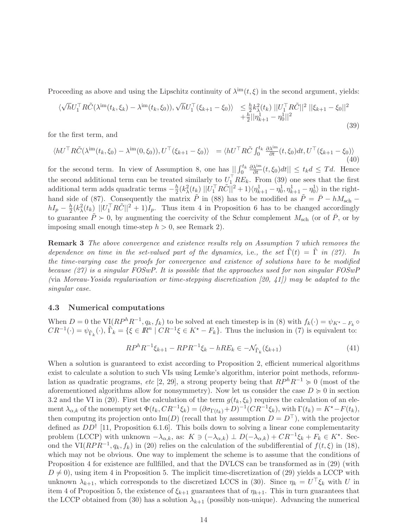Proceeding as above and using the Lipschitz continuity of  $\lambda^{im}(t,\xi)$  in the second argument, yields:

$$
\langle \sqrt{h}U_1^\top R \tilde{C}(\lambda^{\text{im}}(t_k, \xi_k) - \lambda^{\text{im}}(t_k, \xi_0)), \sqrt{h}U_1^\top(\xi_{k+1} - \xi_0) \rangle \leq \frac{h}{2} k_{\lambda}^2(t_k) ||U_1^\top R \tilde{C}||^2 ||\xi_{k+1} - \xi_0||^2 + \frac{h}{2} ||\eta_{k+1}^1 - \eta_0^1||^2
$$
\n(39)

for the first term, and

$$
\langle hU^{\top}R\tilde{C}(\lambda^{\text{im}}(t_k,\xi_0) - \lambda^{\text{im}}(0,\xi_0)), U^{\top}(\xi_{k+1} - \xi_0) \rangle = \langle hU^{\top}R\tilde{C}\int_0^{t_k} \frac{\partial \lambda^{\text{im}}}{\partial t}(t,\xi_0)dt, U^{\top}(\xi_{k+1} - \xi_0) \rangle \tag{40}
$$

for the second term. In view of Assumption 8, one has  $\iint_0^{t_k}$  $\frac{\partial \lambda^{im}}{\partial t}(t,\xi_0)dt|| \leq t_k d \leq T d.$  Hence the second additional term can be treated similarly to  $U_1^{\dagger} RE_k$ . From (39) one sees that the first additional term adds quadratic terms  $-\frac{h}{2}$  $\frac{h}{2}(k_{\lambda}^{2}(t_{k})||U_{1}^{\top}R\tilde{C}||^{2}+1)\langle\eta_{k+1}^{1}-\eta_{0}^{1},\eta_{k+1}^{1}-\eta_{0}^{1}\rangle$  in the righthand side of (87). Consequently the matrix  $\tilde{P}$  in (88) has to be modified as  $\tilde{P} = \bar{P} - hM<sub>sch</sub>$  –  $hI_p - \frac{h}{2}$  $\frac{h}{2}(k_{\lambda}^{2}(t_{k})||U_{1}^{\top}R\tilde{C}||^{2}+1)I_{p}$ . Thus item 4 in Proposition 6 has to be changed accordingly to guarantee  $\tilde{P} \succ 0$ , by augmenting the coercivity of the Schur complement  $M_{\text{sch}}$  (or of  $\overline{P}$ , or by imposing small enough time-step  $h > 0$ , see Remark 2).

Remark 3 The above convergence and existence results rely on Assumption 7 which removes the dependence on time in the set-valued part of the dynamics, i.e., the set  $\tilde{\Gamma}(t) = \tilde{\Gamma}$  in (27). In the time-varying case the proofs for convergence and existence of solutions have to be modified because (27) is a singular FOSwP. It is possible that the approaches used for non singular FOSwP (via Moreau-Yosida regularisation or time-stepping discretization [20, 41]) may be adapted to the singular case.

#### 4.3 Numerical computations

When  $D = 0$  the VI $(RP^hR^{-1}, q_k, f_k)$  to be solved at each timestep is in (8) with  $f_k(\cdot) = \psi_{K^* - F_k} \circ$  $CR^{-1}(\cdot) = \psi_{\tilde{\Gamma}_k}(\cdot), \tilde{\Gamma}_k = \{ \xi \in \mathbb{R}^n \mid CR^{-1}\xi \in K^* - F_k \}.$  Thus the inclusion in (7) is equivalent to:

$$
RP^{h}R^{-1}\xi_{k+1} - RPR^{-1}\xi_{k} - hRE_{k} \in -\mathcal{N}_{\tilde{\Gamma}_{k}}(\xi_{k+1})
$$
\n(41)

When a solution is guaranteed to exist according to Proposition 2, efficient numerical algorithms exist to calculate a solution to such VIs using Lemke's algorithm, interior point methods, reformulation as quadratic programs, etc [2, 29], a strong property being that  $RP<sup>h</sup>R<sup>-1</sup> \ge 0$  (most of the aforementioned algorithms allow for nonsymmetry). Now let us consider the case  $D \geq 0$  in section 3.2 and the VI in (20). First the calculation of the term  $g(t_k, \xi_k)$  requires the calculation of an element  $\lambda_{\alpha,k}$  of the nonempty set  $\Phi(t_k,CR^{-1}\xi_k) = (\partial \sigma_{\Gamma(t_k)} + D)^{-1}(CR^{-1}\xi_k)$ , with  $\Gamma(t_k) = K^* - F(t_k)$ , then computng its projection onto Im(D) (recall that by assumption  $D = D^{\top}$ ), with the projector defined as  $DD^{\dagger}$  [11, Proposition 6.1.6]. This boils down to solving a linear cone complementarity problem (LCCP) with unknown  $-\lambda_{\alpha,k}$ , as:  $K \ni (-\lambda_{\alpha,k}) \perp D(-\lambda_{\alpha,k}) + CR^{-1}\xi_k + F_k \in K^*$ . Second the VI( $RPR^{-1}, q_k, f_k$ ) in (20) relies on the calculation of the subdifferential of  $f(t, \xi)$  in (18), which may not be obvious. One way to implement the scheme is to assume that the conditions of Proposition 4 for existence are fullfilled, and that the DVLCS can be transformed as in (29) (with  $D \neq 0$ , using item 4 in Proposition 5. The implicit time-discretization of (29) yields a LCCP with unknown  $\lambda_{k+1}$ , which corresponds to the discretized LCCS in (30). Since  $\eta_k = U^{\dagger} \xi_k$  with U in item 4 of Proposition 5, the existence of  $\xi_{k+1}$  guarantees that of  $\eta_{k+1}$ . This in turn guarantees that the LCCP obtained from (30) has a solution  $\lambda_{k+1}$  (possibly non-unique). Advancing the numerical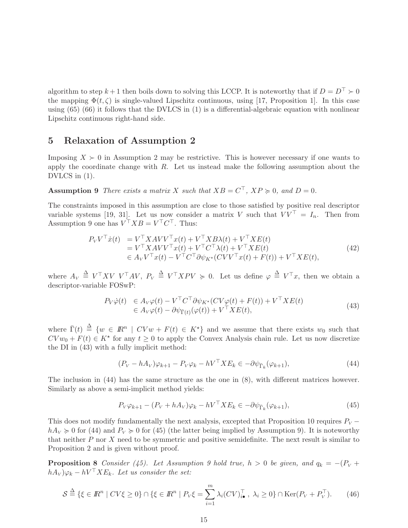algorithm to step  $k + 1$  then boils down to solving this LCCP. It is noteworthy that if  $D = D^{\top} \succ 0$ the mapping  $\Phi(t,\zeta)$  is single-valued Lipschitz continuous, using [17, Proposition 1]. In this case using (65) (66) it follows that the DVLCS in (1) is a differential-algebraic equation with nonlinear Lipschitz continuous right-hand side.

## 5 Relaxation of Assumption 2

Imposing  $X \succ 0$  in Assumption 2 may be restrictive. This is however necessary if one wants to apply the coordinate change with  $R$ . Let us instead make the following assumption about the DVLCS in (1).

**Assumption 9** There exists a matrix X such that  $XB = C^{\perp}$ ,  $XP \ge 0$ , and  $D = 0$ .

The constraints imposed in this assumption are close to those satisfied by positive real descriptor variable systems [19, 31]. Let us now consider a matrix V such that  $VV^+ = I_n$ . Then from Assumption 9 one has  $V^{\dagger}XB = V^{\dagger}C^{\dagger}$ . Thus:

$$
P_V V^\top \dot{x}(t) = V^\top X A V V^\top x(t) + V^\top X B \lambda(t) + V^\top X E(t)
$$
  
= 
$$
V^\top X A V V^\top x(t) + V^\top C^\top \lambda(t) + V^\top X E(t)
$$
  

$$
\in A_V V^\top x(t) - V^\top C^\top \partial \psi_{K^*}(CV V^\top x(t) + F(t)) + V^\top X E(t),
$$
\n(42)

where  $A_V \stackrel{\Delta}{=} V^\top X V V^\top A V$ ,  $P_V \stackrel{\Delta}{=} V^\top X P V \geq 0$ . Let us define  $\varphi \stackrel{\Delta}{=} V^\top x$ , then we obtain a descriptor-variable FOSwP:

$$
P_V \dot{\varphi}(t) \in A_V \varphi(t) - V^\top C^\top \partial \psi_{K^\star}(CV\varphi(t) + F(t)) + V^\top X E(t)
$$
  
\n
$$
\in A_V \varphi(t) - \partial \psi_{\bar{\Gamma}(t)}(\varphi(t)) + V^\top X E(t),
$$
\n(43)

where  $\bar{\Gamma}(t) \triangleq \{w \in \mathbb{R}^n \mid CVw + F(t) \in K^{\star}\}\$  and we assume that there exists  $w_0$  such that  $CVw_0 + F(t) \in K^*$  for any  $t \geq 0$  to apply the Convex Analysis chain rule. Let us now discretize the DI in (43) with a fully implicit method:

$$
(P_V - hA_V)\varphi_{k+1} - P_V\varphi_k - hV^\top X E_k \in -\partial \psi_{\bar{\Gamma}_k}(\varphi_{k+1}),\tag{44}
$$

The inclusion in (44) has the same structure as the one in (8), with different matrices however. Similarly as above a semi-implicit method yields:

$$
P_V \varphi_{k+1} - (P_V + hA_V)\varphi_k - hV^\top X E_k \in -\partial \psi_{\bar{\Gamma}_k}(\varphi_{k+1}),\tag{45}
$$

This does not modify fundamentally the next analysis, excepted that Proposition 10 requires  $P_V$  −  $hA_V \geq 0$  for (44) and  $P_V \geq 0$  for (45) (the latter being implied by Assumption 9). It is noteworthy that neither  $P$  nor  $X$  need to be symmetric and positive semidefinite. The next result is similar to Proposition 2 and is given without proof.

**Proposition 8** Consider (45). Let Assumption 9 hold true,  $h > 0$  be given, and  $q_k = -(P_V + P_V)$  $(hA_V)\varphi_k - hV^\top X E_k$ . Let us consider the set:

$$
\mathcal{S} \stackrel{\Delta}{=} \{\xi \in \mathbb{R}^n \mid CV\xi \ge 0\} \cap \{\xi \in \mathbb{R}^n \mid P_V\xi = \sum_{i=1}^m \lambda_i (CV)_{i\bullet}^\top, \lambda_i \ge 0\} \cap \text{Ker}(P_V + P_V^\top). \tag{46}
$$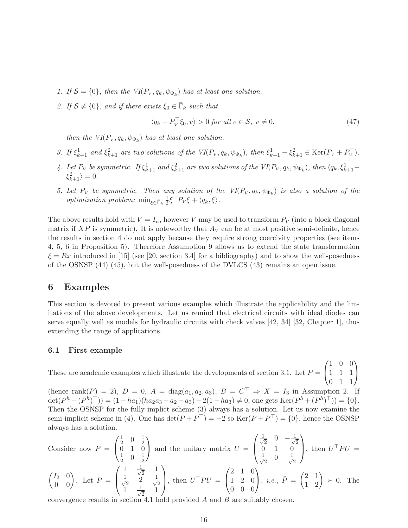- 1. If  $S = \{0\}$ , then the  $VI(P_V, q_k, \psi_{\Phi_k})$  has at least one solution.
- 2. If  $S \neq \{0\}$ , and if there exists  $\xi_0 \in \bar{\Gamma}_k$  such that

$$
\langle q_k - P_V^{\top} \xi_0, v \rangle > 0 \text{ for all } v \in \mathcal{S}, v \neq 0,
$$
\n
$$
(47)
$$

then the  $VI(P_V, q_k, \psi_{\Phi_k})$  has at least one solution.

- 3. If  $\xi_{k+1}^1$  and  $\xi_{k+1}^2$  are two solutions of the  $VI(P_V, q_k, \psi_{\Phi_k})$ , then  $\xi_{k+1}^1 \xi_{k+1}^2 \in \text{Ker}(P_V + P_V^{\top})$ .
- 4. Let  $P_V$  be symmetric. If  $\xi_{k+1}^1$  and  $\xi_{k+1}^2$  are two solutions of the  $VI(P_V, q_k, \psi_{\Phi_k})$ , then  $\langle q_k, \xi_{k+1}^1 \xi_{k+1}^2 \rangle = 0.$
- 5. Let  $P_V$  be symmetric. Then any solution of the  $VI(P_V, q_k, \psi_{\Phi_k})$  is also a solution of the *optimization problem:* min<sub> $\xi \in \bar{\Gamma}_k$ </sub> $\frac{1}{2}$  $\frac{1}{2}\xi^{\dagger}P_{V}\xi + \langle q_{k}, \xi \rangle.$

The above results hold with  $V = I_n$ , however V may be used to transform  $P_V$  (into a block diagonal matrix if XP is symmetric). It is noteworthy that  $A_V$  can be at most positive semi-definite, hence the results in section 4 do not apply because they require strong coercivity properties (see items 4, 5, 6 in Proposition 5). Therefore Assumption 9 allows us to extend the state transformation  $\xi = Rx$  introduced in [15] (see [20, section 3.4] for a bibliography) and to show the well-posedness of the OSNSP (44) (45), but the well-posedness of the DVLCS (43) remains an open issue.

## 6 Examples

This section is devoted to present various examples which illustrate the applicability and the limitations of the above developments. Let us remind that electrical circuits with ideal diodes can serve equally well as models for hydraulic circuits with check valves [42, 34] [32, Chapter 1], thus extending the range of applications.

#### 6.1 First example

These are academic examples which illustrate the developments of section 3.1. Let  $P =$  $\sqrt{ }$  $\mathcal{L}$ 1 0 0 1 1 1  $0 \t1 \t1$  $\setminus$  $\overline{1}$ 

(hence  $\text{rank}(P) = 2$ ),  $D = 0$ ,  $A = \text{diag}(a_1, a_2, a_3)$ ,  $B = C^{\perp} \Rightarrow X = I_3$  in Assumption 2. If  $\det(P^h + (P^h)^{\top}) = (1 - ha_1)(ha_2a_3 - a_2 - a_3) - 2(1 - ha_3) \neq 0$ , one gets  $\text{Ker}(P^h + (P^h)^{\top}) = \{0\}.$ Then the OSNSP for the fully implict scheme (3) always has a solution. Let us now examine the semi-implicit scheme in (4). One has  $\det(P + P^+) = -2$  so  $\text{Ker}(P + P^+) = \{0\}$ , hence the OSNSP always has a solution.

Consider now 
$$
P = \begin{pmatrix} \frac{1}{2} & 0 & \frac{1}{2} \\ 0 & 1 & 0 \\ \frac{1}{2} & 0 & \frac{1}{2} \end{pmatrix}
$$
 and the unitary matrix  $U = \begin{pmatrix} \frac{1}{\sqrt{2}} & 0 & -\frac{1}{\sqrt{2}} \\ 0 & 1 & 0 \\ \frac{1}{\sqrt{2}} & 0 & \frac{1}{\sqrt{2}} \end{pmatrix}$ , then  $U^{\top}PU = \begin{pmatrix} I & \frac{1}{\sqrt{2}} & 1 \\ \frac{1}{\sqrt{2}} & 0 & \frac{1}{\sqrt{2}} \end{pmatrix}$ , then  $U^{\top}PU = \begin{pmatrix} 2 & 1 & 0 \\ 1 & 2 & 0 \\ 0 & 0 & 0 \end{pmatrix}$ , *i.e.*,  $\bar{P} = \begin{pmatrix} 2 & 1 \\ 1 & 2 \end{pmatrix} \succ 0$ . The

convergence results in section 4.1 hold provided A and B are suitably chosen.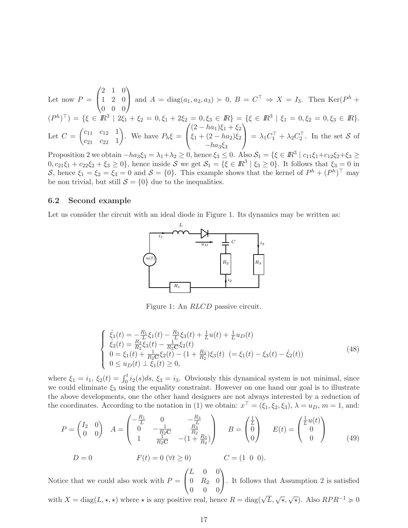Let now  $P =$  $\sqrt{ }$  $\mathcal{L}$ 2 1 0 1 2 0  $0 \t 0 \t 0$  $\setminus$ and  $A = \text{diag}(a_1, a_2, a_3) \succ 0$ ,  $B = C^{\top} \Rightarrow X = I_3$ . Then Ker( $P^h$  +  $(P^h)^\top$  = { $\xi \in \mathbb{R}^3 \mid 2\xi_1 + \xi_2 = 0, \xi_1 + 2\xi_2 = 0, \xi_3 \in \mathbb{R}$ } = { $\xi \in \mathbb{R}^3 \mid \xi_1 = 0, \xi_2 = 0, \xi_3 \in \mathbb{R}$  }. Let  $C =$  $\int c_{11} c_{12} 1$  $c_{21}$   $c_{22}$  1  $\setminus$ . We have  $P_h \xi =$  $\sqrt{ }$  $\mathbf{I}$  $(2 - ha_1)\xi_1 + \xi_2$  $\xi_1 + (2 - ha_2)\xi_2$  $-ha_3\xi_3$  $\setminus$  $= \lambda_1 C_1^{\perp} + \lambda_2 C_2^{\perp}.$  In the set S of

Proposition 2 we obtain  $-ha_3\xi_3 = \lambda_1 + \lambda_2 \ge 0$ , hence  $\xi_3 \le 0$ . Also  $S_1 = \{\xi \in \mathbb{R}^3 \mid c_{11}\xi_1 + c_{12}\xi_2 + \xi_3 \ge 0\}$  $0, c_{21}\xi_1 + c_{22}\xi_2 + \xi_3 \ge 0$ , hence inside S we get  $S_1 = {\xi \in \mathbb{R}^3 \mid \xi_3 \ge 0}$ . It follows that  $\xi_3 = 0$  in S, hence  $\xi_1 = \xi_2 = \xi_3 = 0$  and  $S = \{0\}$ . This example shows that the kernel of  $P^h + (P^h)^{\top}$  may be non trivial, but still  $S = \{0\}$  due to the inequalities.

#### 6.2 Second example

Let us consider the circuit with an ideal diode in Figure 1. Its dynamics may be written as:



Figure 1: An RLCD passive circuit.

$$
\begin{cases}\n\dot{\xi}_{1}(t) = -\frac{R_{1}}{L}\xi_{1}(t) - \frac{R_{3}}{L}\xi_{3}(t) + \frac{1}{L}u(t) + \frac{1}{L}u_{D}(t) \\
\dot{\xi}_{2}(t) = \frac{R_{3}}{R_{2}}\xi_{3}(t) - \frac{1}{R_{2}C}\xi_{2}(t) \\
0 = \xi_{1}(t) + \frac{1}{R_{2}C}\xi_{2}(t) - (1 + \frac{R_{3}}{R_{2}})\xi_{3}(t) \quad (= \xi_{1}(t) - \xi_{3}(t) - \dot{\xi}_{2}(t)) \\
0 \leq u_{D}(t) \perp \xi_{1}(t) \geq 0,\n\end{cases}
$$
\n(48)

where  $\xi_1 = i_1$ ,  $\xi_2(t) = \int_0^t i_2(s)ds$ ,  $\xi_3 = i_3$ . Obviously this dynamical system is not minimal, since we could eliminate  $\xi_3$  using the equality constraint. However on one hand our goal is to illustrate the above developments, one the other hand designers are not always interested by a reduction of the coordinates. According to the notation in (1) we obtain:  $x^{\perp} = (\xi_1, \xi_2, \xi_3), \lambda = u_D, m = 1$ , and:

$$
P = \begin{pmatrix} I_2 & 0 \\ 0 & 0 \end{pmatrix} \quad A = \begin{pmatrix} -\frac{R_1}{L} & 0 & -\frac{R_3}{L} \\ 0 & -\frac{1}{R_2 C} & \frac{R_3}{R_2} \\ 1 & \frac{1}{R_2 C} & -(1 + \frac{R_3}{R_2}) \end{pmatrix} \quad B = \begin{pmatrix} \frac{1}{L} \\ 0 \\ 0 \end{pmatrix} \quad E(t) = \begin{pmatrix} \frac{1}{L} u(t) \\ 0 \\ 0 \end{pmatrix}
$$
(49)

$$
D = 0 \t F(t) = 0 \t (\forall t \ge 0) \t C = (1 \t 0 \t 0).
$$

Notice that we could also work with  $P =$  $\sqrt{ }$  $\mathcal{L}$  $L \quad 0 \quad 0$  $0 R_2 0$  $0 \quad 0 \quad 0$  $\setminus$ . It follows that Assumption 2 is satisfied

with  $X = diag(L, \star, \star)$  where  $\star$  is any positive real, hence  $R = diag(\sqrt{L}, \sqrt{\star}, \sqrt{\star})$ . Also  $RPR^{-1} \geq 0$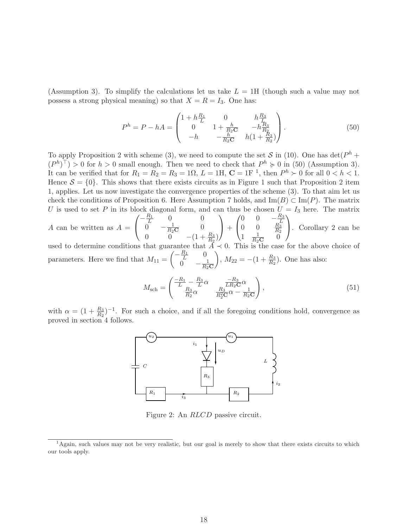(Assumption 3). To simplify the calculations let us take  $L = 1H$  (though such a value may not possess a strong physical meaning) so that  $X = R = I_3$ . One has:

$$
P^{h} = P - hA = \begin{pmatrix} 1 + h\frac{R_{1}}{L} & 0 & h\frac{R_{3}}{L} \\ 0 & 1 + \frac{h}{R_{2}\mathbf{C}} & -h\frac{R_{3}}{R_{2}} \\ -h & -\frac{h}{R_{2}\mathbf{C}} & h(1 + \frac{R_{3}}{R_{2}}) \end{pmatrix}.
$$
 (50)

To apply Proposition 2 with scheme (3), we need to compute the set S in (10). One has  $\det(P^h +$  $(P<sup>h</sup>)<sup>T</sup> > 0$  for  $h > 0$  small enough. Then we need to check that  $P<sup>h</sup> \ge 0$  in (50) (Assumption 3). It can be verified that for  $R_1 = R_2 = R_3 = 1\Omega$ ,  $L = 1H$ ,  $C = 1F^{-1}$ , then  $P^h \succ 0$  for all  $0 < h < 1$ . Hence  $S = \{0\}$ . This shows that there exists circuits as in Figure 1 such that Proposition 2 item 1, applies. Let us now investigate the convergence properties of the scheme (3). To that aim let us check the conditions of Proposition 6. Here Assumption 7 holds, and  $\text{Im}(B) \subset \text{Im}(P)$ . The matrix U is used to set P in its block diagonal form, and can thus be chosen  $U = I_3$  here. The matrix

A can be written as  $A =$  $\sqrt{ }$  $\mathbf{I}$  $-\frac{R_1}{L}$  0 0 0  $-\frac{1}{R_2C}$  0 0 0  $-(1 + \frac{R_3}{R_2})$  $\setminus$  $+$  $\sqrt{ }$  $\mathbf{I}$ 0 0  $-\frac{R_3}{L}$ <br>0 0  $\frac{R_3}{R_2}$  $1 \frac{1}{R_2C}$  0  $\setminus$ . Corollary 2 can be

used to determine conditions that guarantee that  $A \prec 0$ . This is the case for the above choice of parameters. Here we find that  $M_{11} =$  $\begin{pmatrix} -\frac{R_1}{L} & 0 \end{pmatrix}$ 0  $-\frac{1}{R_2C}$  $\bigg), M_{22} = -(1 + \frac{R_3}{R_2}).$  One has also:

$$
M_{\rm sch} = \begin{pmatrix} \frac{-R_1}{L} - \frac{R_3}{L}\alpha & \frac{-R_3}{LR_2C}\alpha\\ \frac{R_3}{R_2}\alpha & \frac{R_3}{R_2^2C}\alpha - \frac{1}{R_2C} \end{pmatrix},
$$
(51)

with  $\alpha = (1 + \frac{R_3}{R_2})^{-1}$ . For such a choice, and if all the foregoing conditions hold, convergence as proved in section 4 follows.



Figure 2: An RLCD passive circuit.

<sup>&</sup>lt;sup>1</sup>Again, such values may not be very realistic, but our goal is merely to show that there exists circuits to which our tools apply.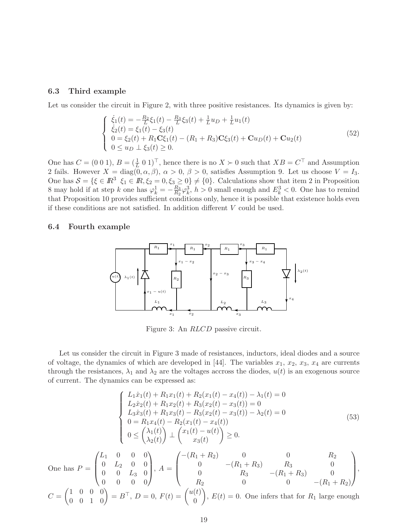#### 6.3 Third example

Let us consider the circuit in Figure 2, with three positive resistances. Its dynamics is given by:

$$
\begin{cases}\n\dot{\xi}_{1}(t) = -\frac{R_{2}}{L}\xi_{1}(t) - \frac{R_{3}}{L}\xi_{3}(t) + \frac{1}{L}u_{D} + \frac{1}{L}u_{1}(t) \\
\dot{\xi}_{2}(t) = \xi_{1}(t) - \xi_{3}(t) \\
0 = \xi_{2}(t) + R_{1}\mathbf{C}\xi_{1}(t) - (R_{1} + R_{3})\mathbf{C}\xi_{3}(t) + \mathbf{C}u_{D}(t) + \mathbf{C}u_{2}(t) \\
0 \leq u_{D} \perp \xi_{3}(t) \geq 0.\n\end{cases}
$$
\n(52)

One has  $C = (0 \ 0 \ 1), B = (\frac{1}{L} \ 0 \ 1)^T$ , hence there is no  $X \succ 0$  such that  $XB = C^T$  and Assumption 2 fails. However  $X = \text{diag}(0, \alpha, \beta), \alpha > 0, \beta > 0$ , satisfies Assumption 9. Let us choose  $V = I_3$ . One has  $S = \{\xi \in \mathbb{R}^3 \mid \xi_1 \in \mathbb{R}, \xi_2 = 0, \xi_3 \geq 0\} \neq \{0\}$ . Calculations show that item 2 in Proposition 8 may hold if at step k one has  $\varphi_k^1 = -\frac{R_3}{R_2}$  $\frac{R_3}{R_2}\varphi_k^3$ ,  $h > 0$  small enough and  $E_k^3 < 0$ . One has to remind that Proposition 10 provides sufficient conditions only, hence it is possible that existence holds even if these conditions are not satisfied. In addition different V could be used.

#### 6.4 Fourth example



Figure 3: An RLCD passive circuit.

Let us consider the circuit in Figure 3 made of resistances, inductors, ideal diodes and a source of voltage, the dynamics of which are developed in [44]. The variables  $x_1, x_2, x_3, x_4$  are currents through the resistances,  $\lambda_1$  and  $\lambda_2$  are the voltages accross the diodes,  $u(t)$  is an exogenous source of current. The dynamics can be expressed as:

$$
\begin{cases}\nL_1 \dot{x}_1(t) + R_1 x_1(t) + R_2(x_1(t) - x_4(t)) - \lambda_1(t) = 0 \\
L_2 \dot{x}_2(t) + R_1 x_2(t) + R_3(x_2(t) - x_3(t)) = 0 \\
L_3 \dot{x}_3(t) + R_1 x_3(t) - R_3(x_2(t) - x_3(t)) - \lambda_2(t) = 0 \\
0 = R_1 x_4(t) - R_2(x_1(t) - x_4(t)) \\
0 \leq \begin{pmatrix} \lambda_1(t) \\ \lambda_2(t) \end{pmatrix} \perp \begin{pmatrix} x_1(t) - u(t) \\ x_3(t) \end{pmatrix} \geq 0.\n\end{cases} \tag{53}
$$

One has  $P =$  $\sqrt{ }$  $\overline{\phantom{a}}$  $L_1$  0 0 0  $0$   $L_2$   $0$   $0$  $0 \t 0 \t L_3 \t 0$  $0 \t 0 \t 0 \t 0$  $\setminus$  $\Bigg), A =$  $\sqrt{ }$  $\vert$  $-(R_1 + R_2)$  0 0 R<sub>2</sub> 0  $-(R_1 + R_3)$   $R_3$  0 0  $R_3$   $-(R_1 + R_3)$  0  $R_2$  0 0  $-(R_1 + R_2)$  $\setminus$  $\left| \cdot \right|$  $C =$  $\begin{pmatrix} 1 & 0 & 0 & 0 \\ 0 & 0 & 1 & 0 \end{pmatrix} = B^{\top}, D = 0, F(t) = \begin{pmatrix} u(t) \\ 0 \end{pmatrix}$  $\theta$  $\setminus$ ,  $E(t) = 0$ . One infers that for  $R_1$  large enough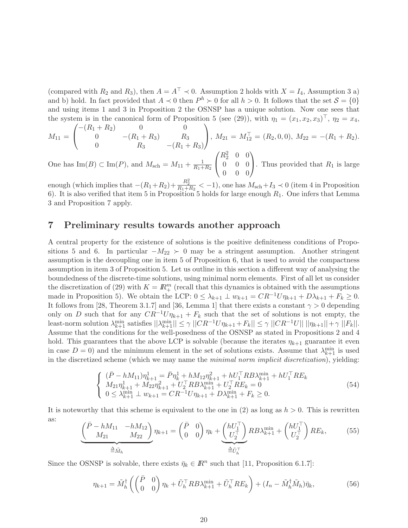(compared with  $R_2$  and  $R_3$ ), then  $A = A^{\top} \prec 0$ . Assumption 2 holds with  $X = I_4$ , Assumption 3 a) and b) hold. In fact provided that  $A \prec 0$  then  $P^h \succ 0$  for all  $h > 0$ . It follows that the set  $S = \{0\}$ and using items 1 and 3 in Proposition 2 the OSNSP has a unique solution. Now one sees that the system is in the canonical form of Proposition 5 (see (29)), with  $\eta_1 = (x_1, x_2, x_3)^\top$ ,  $\eta_2 = x_4$ ,

$$
M_{11} = \begin{pmatrix} -(R_1 + R_2) & 0 & 0 \ 0 & -(R_1 + R_3) & R_3 \ 0 & R_3 & -(R_1 + R_3) \end{pmatrix}, M_{21} = M_{12}^{\top} = (R_2, 0, 0), M_{22} = -(R_1 + R_2).
$$
  
\n
$$
M_{21} = M_{12}^{\top} = (R_2, 0, 0), M_{22} = -(R_1 + R_2).
$$

One has  $\text{Im}(B) \subset \text{Im}(P)$ , and  $M_{\text{sch}} = M_{11} + \frac{1}{R_1 + R_2}$  $\mathcal{L}$  $R_2^2 \quad 0 \quad 0$ 0 0 0  $0 \quad 0 \quad 0$ . Thus provided that  $R_1$  is large

enough (which implies that  $-(R_1+R_2)+\frac{R_2^2}{R_1+R_2} < -1$ ), one has  $M_{\text{sch}}+I_3 \prec 0$  (item 4 in Proposition 6). It is also verified that item 5 in Proposition 5 holds for large enough  $R_1$ . One infers that Lemma 3 and Proposition 7 apply.

### 7 Preliminary results towards another approach

A central property for the existence of solutions is the positive definiteness conditions of Propositions 5 and 6. In particular  $-M_{22} > 0$  may be a stringent assumption. Another stringent assumption is the decoupling one in item 5 of Proposition 6, that is used to avoid the compactness assumption in item 3 of Proposition 5. Let us outline in this section a different way of analysing the boundedness of the discrete-time solutions, using minimal norm elements. First of all let us consider the discretization of (29) with  $K = \mathbb{R}^m_+$  (recall that this dynamics is obtained with the assumptions made in Proposition 5). We obtain the LCP:  $0 \leq \lambda_{k+1} \perp w_{k+1} = CR^{-1}U\eta_{k+1} + D\lambda_{k+1} + F_k \geq 0$ . It follows from [28, Theorem 3.1.7] and [36, Lemma 1] that there exists a constant  $\gamma > 0$  depending only on D such that for any  $CR^{-1}U\eta_{k+1} + F_k$  such that the set of solutions is not empty, the least-norm solution  $\lambda_{k+1}^{\min}$  satisfies  $||\lambda_{k+1}^{\min}|| \leq \gamma ||CR^{-1}U\eta_{k+1} + F_k|| \leq \gamma ||CR^{-1}U|| ||\eta_{k+1}|| + \gamma ||F_k||$ . Assume that the conditions for the well-posedness of the OSNSP as stated in Propositions 2 and 4 hold. This guarantees that the above LCP is solvable (because the iterates  $\eta_{k+1}$  guarantee it even in case  $D = 0$ ) and the minimum element in the set of solutions exists. Assume that  $\lambda_{k+1}^{\min}$  is used in the discretized scheme (which we may name the minimal norm implicit discretization), yielding:

$$
\begin{cases}\n(\bar{P} - hM_{11})\eta_{k+1}^{1} = \bar{P}\eta_{k}^{1} + hM_{12}\eta_{k+1}^{2} + hU_{1}^{\top}RB\lambda_{k+1}^{\min} + hU_{1}^{\top}RE_{k} \nM_{21}\eta_{k+1}^{1} + M_{22}\eta_{k+1}^{2} + U_{2}^{\top}RB\lambda_{k+1}^{\min} + U_{2}^{\top}RE_{k} = 0 \n0 \le \lambda_{k+1}^{\min} \perp w_{k+1} = CR^{-1}U\eta_{k+1} + D\lambda_{k+1}^{\min} + F_{k} \ge 0.\n\end{cases}
$$
\n(54)

It is noteworthy that this scheme is equivalent to the one in (2) as long as  $h > 0$ . This is rewritten as:

$$
\underbrace{\begin{pmatrix} \bar{P} - hM_{11} & -hM_{12} \\ M_{21} & M_{22} \end{pmatrix}}_{\triangleq \tilde{M}_h} \eta_{k+1} = \begin{pmatrix} \bar{P} & 0 \\ 0 & 0 \end{pmatrix} \eta_k + \underbrace{\begin{pmatrix} hU_1^{\top} \\ U_2^{\top} \end{pmatrix}}_{\triangleq \tilde{U}_h^{\top}} R B \lambda_{k+1}^{\min} + \begin{pmatrix} hU_1^{\top} \\ U_2^{\top} \end{pmatrix} R E_k, \tag{55}
$$

Since the OSNSP is solvable, there exists  $\bar{\eta}_k \in \mathbb{R}^n$  such that [11, Proposition 6.1.7]:

$$
\eta_{k+1} = \tilde{M}_h^{\dagger} \left( \begin{pmatrix} \bar{P} & 0 \\ 0 & 0 \end{pmatrix} \eta_k + \tilde{U}_h^{\dagger} R B \lambda_{k+1}^{\min} + \tilde{U}_h^{\dagger} R E_k \right) + (I_n - \tilde{M}_h^{\dagger} \tilde{M}_h) \bar{\eta}_k, \tag{56}
$$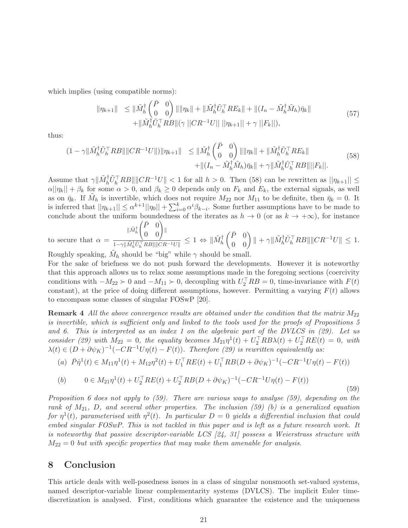which implies (using compatible norms):

$$
\|\eta_{k+1}\| \leq \|\tilde{M}_{h}^{\dagger} \begin{pmatrix} \bar{P} & 0 \\ 0 & 0 \end{pmatrix} \|\|\eta_{k}\| + \|\tilde{M}_{h}^{\dagger} \tilde{U}_{h}^{\top} R E_{k} \| + \|(I_{n} - \tilde{M}_{h}^{\dagger} \tilde{M}_{h}) \bar{\eta}_{k} \| + \|\tilde{M}_{h}^{\dagger} \tilde{U}_{h}^{\top} R B \| (\gamma \| C R^{-1} U \| \| \|\eta_{k+1}\| + \gamma \|F_{k} \|), \tag{57}
$$

thus:

$$
(1 - \gamma \|\tilde{M}_h^{\dagger} \tilde{U}_h^{\top} R B\| \|CR^{-1}U\|) \|\eta_{k+1}\| \leq \|\tilde{M}_h^{\dagger} \begin{pmatrix} \bar{P} & 0 \\ 0 & 0 \end{pmatrix} \| \|\eta_k\| + \|\tilde{M}_h^{\dagger} \tilde{U}_h^{\top} R E_k\| + \| (I_n - \tilde{M}_h^{\dagger} \tilde{M}_h) \bar{\eta}_k \| + \gamma \|\tilde{M}_h^{\dagger} \tilde{U}_h^{\top} R B\| \| F_k \|.
$$
\n(58)

Assume that  $\gamma \|\tilde{M}_h^{\dagger} \tilde{U}_h^{\top} R B\| \|CR^{-1}U\| < 1$  for all  $h > 0$ . Then (58) can be rewritten as  $||\eta_{k+1}|| \le$  $\alpha ||\eta_k|| + \beta_k$  for some  $\alpha > 0$ , and  $\beta_k \geq 0$  depends only on  $F_k$  and  $E_k$ , the external signals, as well as on  $\bar{\eta}_k$ . If  $\tilde{M}_h$  is invertible, which does not require  $M_{22}$  nor  $M_{11}$  to be definite, then  $\bar{\eta}_k = 0$ . It is inferred that  $||\eta_{k+1}|| \leq \alpha^{k+1} ||\eta_0|| + \sum_{i=0}^k \alpha^i \beta_{k-i}$ . Some further assumptions have to be made to conclude about the uniform boundedness of the iterates as  $h \to 0$  (or as  $k \to +\infty$ ), for instance  $(\bar{P} \quad 0)$ 

to secure that 
$$
\alpha = \frac{\|\tilde{M}_h^{\dagger}\begin{pmatrix} 1 & 0 \\ 0 & 0 \end{pmatrix}\|}{1-\gamma\|\tilde{M}_h^{\dagger}\tilde{U}_h^{\top}RB\|\|CR^{-1}U\|} \leq 1 \Leftrightarrow \|\tilde{M}_h^{\dagger}\begin{pmatrix} \bar{P} & 0 \\ 0 & 0 \end{pmatrix}\| + \gamma\|\tilde{M}_h^{\dagger}\tilde{U}_h^{\top}RB\|\|CR^{-1}U\| \leq 1.
$$

Roughly speaking,  $\tilde{M}_h$  should be "big" while  $\gamma$  should be small.

For the sake of briefness we do not push forward the developments. However it is noteworthy that this approach allows us to relax some assumptions made in the foregoing sections (coercivity conditions with  $-M_{22} \succ 0$  and  $-M_{11} \succ 0$ , decoupling with  $U_2^{\dagger} R B = 0$ , time-invariance with  $F(t)$ constant), at the price of doing different assumptions, however. Permitting a varying  $F(t)$  allows to encompass some classes of singular FOSwP [20].

**Remark 4** All the above convergence results are obtained under the condition that the matrix  $M_{22}$ is invertible, which is sufficient only and linked to the tools used for the proofs of Propositions 5 and 6. This is interpreted as an index 1 on the algebraic part of the DVLCS in  $(29)$ . Let us consider (29) with  $M_{22} = 0$ , the equality becomes  $M_{21}\eta^{1}(t) + U_2^{\top}RB\lambda(t) + U_2^{\top}RE(t) = 0$ , with  $\lambda(t) \in (D + \partial \psi_K)^{-1}(-CR^{-1}U\eta(t) - F(t)).$  Therefore (29) is rewritten equivalently as:

(a) 
$$
\bar{P}\dot{\eta}^1(t) \in M_{11}\eta^1(t) + M_{12}\eta^2(t) + U_1^\top RE(t) + U_1^\top RB(D + \partial \psi_K)^{-1}(-CR^{-1}U\eta(t) - F(t))
$$

(b) 
$$
0 \in M_{21}\eta^{1}(t) + U_{2}^{\top}RE(t) + U_{2}^{\top}RB(D + \partial\psi_{K})^{-1}(-CR^{-1}U\eta(t) - F(t))
$$
\n(59)

Proposition 6 does not apply to  $(59)$ . There are various ways to analyse  $(59)$ , depending on the rank of  $M_{21}$ , D, and several other properties. The inclusion (59) (b) is a generalized equation for  $\eta^1(t)$ , parameterised with  $\eta^2(t)$ . In particular  $D=0$  yields a differential inclusion that could embed singular FOSwP. This is not tackled in this paper and is left as a future research work. It is noteworthy that passive descriptor-variable LCS [24, 31] possess a Weierstrass structure with  $M_{22} = 0$  but with specific properties that may make them amenable for analysis.

## 8 Conclusion

This article deals with well-posedness issues in a class of singular nonsmooth set-valued systems, named descriptor-variable linear complementarity systems (DVLCS). The implicit Euler timediscretization is analysed. First, conditions which guarantee the existence and the uniqueness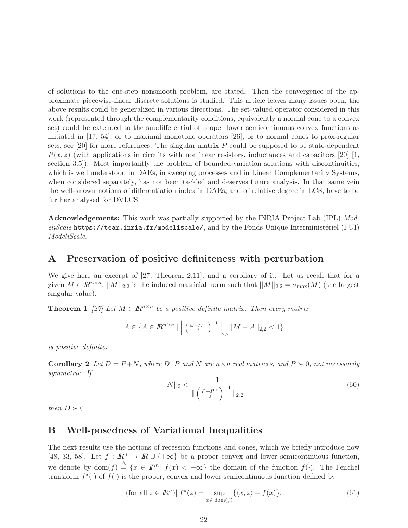of solutions to the one-step nonsmooth problem, are stated. Then the convergence of the approximate piecewise-linear discrete solutions is studied. This article leaves many issues open, the above results could be generalized in various directions. The set-valued operator considered in this work (represented through the complementarity conditions, equivalently a normal cone to a convex set) could be extended to the subdifferential of proper lower semicontinuous convex functions as initiated in [17, 54], or to maximal monotone operators [26], or to normal cones to prox-regular sets, see  $[20]$  for more references. The singular matrix P could be supposed to be state-dependent  $P(x, z)$  (with applications in circuits with nonlinear resistors, inductances and capacitors [20] [1, section 3.5]). Most importantly the problem of bounded-variation solutions with discontinuities, which is well understood in DAEs, in sweeping processes and in Linear Complementarity Systems, when considered separately, has not been tackled and deserves future analysis. In that same vein the well-known notions of differentiation index in DAEs, and of relative degree in LCS, have to be further analysed for DVLCS.

Acknowledgements: This work was partially supported by the INRIA Project Lab (IPL) Mod $eliScale$  https://team.inria.fr/modeliscale/, and by the Fonds Unique Interministériel (FUI) ModeliScale.

## A Preservation of positive definiteness with perturbation

We give here an excerpt of [27, Theorem 2.11], and a corollary of it. Let us recall that for a given  $M \in \mathbb{R}^{n \times n}$ ,  $||M||_{2,2}$  is the induced matricial norm such that  $||M||_{2,2} = \sigma_{\max}(M)$  (the largest singular value).

**Theorem 1** [27] Let  $M \in \mathbb{R}^{n \times n}$  be a positive definite matrix. Then every matrix

$$
A \in \{ A \in I\!\!R^{n \times n} \mid \left\| \left( \frac{M + M^{\top}}{2} \right)^{-1} \right\|_{2,2} ||M - A||_{2,2} < 1 \}
$$

is positive definite.

**Corollary 2** Let  $D = P + N$ , where D, P and N are  $n \times n$  real matrices, and  $P \succ 0$ , not necessarily symmetric. If

$$
||N||_2 < \frac{1}{\|\left(\frac{P + P^\top}{2}\right)^{-1}\|_{2,2}}\tag{60}
$$

then  $D \succ 0$ .

## B Well-posedness of Variational Inequalities

The next results use the notions of recession functions and cones, which we briefly introduce now [48, 33, 58]. Let  $f : \mathbb{R}^n \to \mathbb{R} \cup \{+\infty\}$  be a proper convex and lower semicontinuous function, we denote by  $dom(f) \triangleq \{x \in \mathbb{R}^n | f(x) < +\infty\}$  the domain of the function  $f(\cdot)$ . The Fenchel transform  $f^*(\cdot)$  of  $f(\cdot)$  is the proper, convex and lower semicontinuous function defined by

$$
\text{(for all } z \in \mathbb{R}^n \text{)}\left| f^\star(z) = \sup_{x \in \text{dom}(f)} \{ \langle x, z \rangle - f(x) \}. \right.\n\tag{61}
$$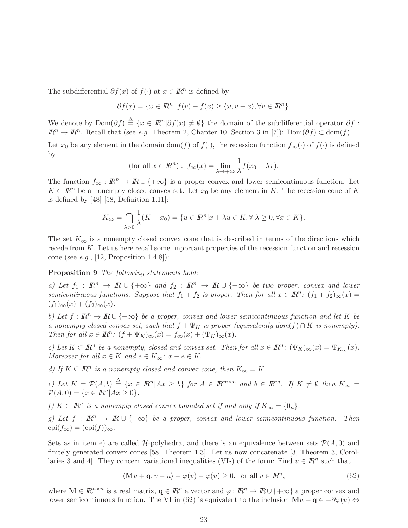The subdifferential  $\partial f(x)$  of  $f(\cdot)$  at  $x \in \mathbb{R}^n$  is defined by

$$
\partial f(x) = \{ \omega \in I\!\!R^n | f(v) - f(x) \ge \langle \omega, v - x \rangle, \forall v \in I\!\!R^n \}.
$$

We denote by  $\text{Dom}(\partial f) \triangleq \{x \in \mathbb{R}^n | \partial f(x) \neq \emptyset\}$  the domain of the subdifferential operator  $\partial f$ :  $\mathbb{R}^n \to \mathbb{R}^n$ . Recall that (see *e.g.* Theorem 2, Chapter 10, Section 3 in [7]):  $\text{Dom}(\partial f) \subset \text{dom}(f)$ .

Let  $x_0$  be any element in the domain dom(f) of  $f(\cdot)$ , the recession function  $f_{\infty}(\cdot)$  of  $f(\cdot)$  is defined by

(for all 
$$
x \in \mathbb{R}^n
$$
):  $f_{\infty}(x) = \lim_{\lambda \to +\infty} \frac{1}{\lambda} f(x_0 + \lambda x)$ .

The function  $f_{\infty}: \mathbb{R}^n \to \mathbb{R} \cup \{+\infty\}$  is a proper convex and lower semicontinuous function. Let  $K \subset \mathbb{R}^n$  be a nonempty closed convex set. Let  $x_0$  be any element in K. The recession cone of K is defined by [48] [58, Definition 1.11]:

$$
K_{\infty} = \bigcap_{\lambda > 0} \frac{1}{\lambda} (K - x_0) = \{ u \in I\!\!R^n | x + \lambda u \in K, \forall \lambda \ge 0, \forall x \in K \}.
$$

The set  $K_{\infty}$  is a nonempty closed convex cone that is described in terms of the directions which recede from K. Let us here recall some important properties of the recession function and recession cone (see *e.g.*, [12, Proposition 1.4.8]):

Proposition 9 The following statements hold:

a) Let  $f_1 : \mathbb{R}^n \to \mathbb{R} \cup \{+\infty\}$  and  $f_2 : \mathbb{R}^n \to \mathbb{R} \cup \{+\infty\}$  be two proper, convex and lower semicontinuous functions. Suppose that  $f_1 + f_2$  is proper. Then for all  $x \in \mathbb{R}^n$ :  $(f_1 + f_2)_{\infty}(x) =$  $(f_1)_{\infty}(x) + (f_2)_{\infty}(x).$ 

b) Let  $f: \mathbb{R}^n \to \mathbb{R} \cup \{+\infty\}$  be a proper, convex and lower semicontinuous function and let K be a nonempty closed convex set, such that  $f + \Psi_K$  is proper (equivalently dom(f) ∩ K is nonempty). Then for all  $x \in \mathbb{R}^n$ :  $(f + \Psi_K)_{\infty}(x) = f_{\infty}(x) + (\Psi_K)_{\infty}(x)$ .

c) Let  $K \subset \mathbb{R}^n$  be a nonempty, closed and convex set. Then for all  $x \in \mathbb{R}^n$ :  $(\Psi_K)_{\infty}(x) = \Psi_{K_{\infty}}(x)$ . Moreover for all  $x \in K$  and  $e \in K_{\infty}$ :  $x + e \in K$ .

d) If  $K \subseteq \mathbb{R}^n$  is a nonempty closed and convex cone, then  $K_{\infty} = K$ .

e) Let  $K = \mathcal{P}(A, b) \triangleq \{x \in \mathbb{R}^n | Ax \geq b\}$  for  $A \in \mathbb{R}^{m \times n}$  and  $b \in \mathbb{R}^m$ . If  $K \neq \emptyset$  then  $K_{\infty} =$  $\mathcal{P}(A, 0) = \{x \in \mathbb{R}^n | Ax \ge 0\}.$ 

f)  $K \subset \mathbb{R}^n$  is a nonempty closed convex bounded set if and only if  $K_\infty = \{0_n\}.$ 

g) Let  $f : \mathbb{R}^n \to \mathbb{R} \cup \{+\infty\}$  be a proper, convex and lower semicontinuous function. Then  $epi(f_{\infty}) = (epi(f))_{\infty}.$ 

Sets as in item e) are called  $H$ -polyhedra, and there is an equivalence between sets  $\mathcal{P}(A, 0)$  and finitely generated convex cones [58, Theorem 1.3]. Let us now concatenate [3, Theorem 3, Corollaries 3 and 4. They concern variational inequalities (VIs) of the form: Find  $u \in \mathbb{R}^n$  such that

$$
\langle \mathbf{M}u + \mathbf{q}, v - u \rangle + \varphi(v) - \varphi(u) \ge 0, \text{ for all } v \in \mathbb{R}^n,
$$
\n(62)

where  $\mathbf{M} \in \mathbb{R}^{n \times n}$  is a real matrix,  $\mathbf{q} \in \mathbb{R}^n$  a vector and  $\varphi : \mathbb{R}^n \to \mathbb{R} \cup \{+\infty\}$  a proper convex and lower semicontinuous function. The VI in (62) is equivalent to the inclusion  $\mathbf{M}u + \mathbf{q} \in -\partial\varphi(u) \Leftrightarrow$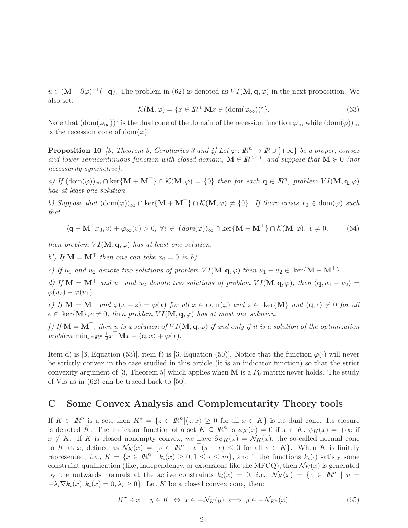$u \in (M + \partial \varphi)^{-1}(-\mathbf{q})$ . The problem in (62) is denoted as  $VI(M, \mathbf{q}, \varphi)$  in the next proposition. We also set:

$$
\mathcal{K}(\mathbf{M}, \varphi) = \{x \in \mathbb{R}^n | \mathbf{M}x \in (\text{dom}(\varphi_\infty))^* \}. \tag{63}
$$

Note that  $(\text{dom}(\varphi_\infty))^*$  is the dual cone of the domain of the recession function  $\varphi_\infty$  while  $(\text{dom}(\varphi))_\infty$ is the recession cone of dom $(\varphi)$ .

**Proposition 10** [3, Theorem 3, Corollaries 3 and  $\frac{1}{4}$  Let  $\varphi : \mathbb{R}^n \to \mathbb{R} \cup \{+\infty\}$  be a proper, convex and lower semicontinuous function with closed domain,  $\mathbf{M} \in \mathbb{R}^{n \times n}$ , and suppose that  $\mathbf{M} \succcurlyeq 0$  (not necessarily symmetric).

a) If  $(\text{dom}(\varphi))_{\infty} \cap \text{ker}\{\mathbf{M} + \mathbf{M}^{\top}\}\cap \mathcal{K}(\mathbf{M}, \varphi) = \{0\}$  then for each  $\mathbf{q} \in \mathbb{R}^n$ , problem  $VI(\mathbf{M}, \mathbf{q}, \varphi)$ has at least one solution.

b) Suppose that  $(\text{dom}(\varphi))_{\infty} \cap \text{ker}\{\mathbf{M} + \mathbf{M}^{\top}\}\cap \mathcal{K}(\mathbf{M}, \varphi) \neq \{0\}$ . If there exists  $x_0 \in \text{dom}(\varphi)$  such that

$$
\langle \mathbf{q} - \mathbf{M}^{\top} x_0, v \rangle + \varphi_{\infty}(v) > 0, \ \forall v \in (dom(\varphi))_{\infty} \cap \ker\{\mathbf{M} + \mathbf{M}^{\top}\} \cap \mathcal{K}(\mathbf{M}, \varphi), \ v \neq 0,
$$
 (64)

then problem  $VI(\mathbf{M}, \mathbf{q}, \varphi)$  has at least one solution.

b') If  $\mathbf{M} = \mathbf{M}^{\top}$  then one can take  $x_0 = 0$  in b).

c) If  $u_1$  and  $u_2$  denote two solutions of problem  $VI(\mathbf{M}, \mathbf{q}, \varphi)$  then  $u_1 - u_2 \in \text{ker}\{\mathbf{M} + \mathbf{M}^\top\}$ .

d) If  $\mathbf{M} = \mathbf{M}^{\top}$  and  $u_1$  and  $u_2$  denote two solutions of problem  $VI(\mathbf{M}, \mathbf{q}, \varphi)$ , then  $\langle \mathbf{q}, u_1 - u_2 \rangle =$  $\varphi(u_2) - \varphi(u_1).$ 

e) If  $\mathbf{M} = \mathbf{M}^{\top}$  and  $\varphi(x+z) = \varphi(x)$  for all  $x \in \text{dom}(\varphi)$  and  $z \in \text{ker}\{\mathbf{M}\}\$ and  $\langle \mathbf{q}, e \rangle \neq 0$  for all  $e \in \text{ker}\{\mathbf{M}\}, e \neq 0$ , then problem  $VI(\mathbf{M}, \mathbf{q}, \varphi)$  has at most one solution.

f) If  $M = M^{\top}$ , then u is a solution of  $VI(M, q, \varphi)$  if and only if it is a solution of the optimization problem  $\min_{x \in \mathbb{R}^n} \frac{1}{2}$  $\frac{1}{2}x^{\dagger}\mathbf{M}x + \langle \mathbf{q}, x \rangle + \varphi(x).$ 

Item d) is [3, Equation (53)], item f) is [3, Equation (50)]. Notice that the function  $\varphi(\cdot)$  will never be strictly convex in the case studied in this article (it is an indicator function) so that the strict convexity argument of [3, Theorem 5] which applies when  $M$  is a  $P_0$ -matrix never holds. The study of VIs as in (62) can be traced back to [50].

## C Some Convex Analysis and Complementarity Theory tools

If  $K \subset \mathbb{R}^n$  is a set, then  $K^* = \{z \in \mathbb{R}^n | \langle z, x \rangle \geq 0 \text{ for all } x \in K \}$  is its dual cone. Its closure is denoted  $\overline{K}$ . The indicator function of a set  $K \subseteq \mathbb{R}^n$  is  $\psi_K(x) = 0$  if  $x \in K$ ,  $\psi_K(x) = +\infty$  if  $x \notin K$ . If K is closed nonempty convex, we have  $\partial \psi_K(x) = \mathcal{N}_K(x)$ , the so-called normal cone to K at x, defined as  $\mathcal{N}_K(x) = \{v \in \mathbb{R}^n \mid v^\top(s-x) \leq 0 \text{ for all } s \in K\}.$  When K is finitely represented, *i.e.*,  $K = \{x \in \mathbb{R}^n \mid k_i(x) \geq 0, 1 \leq i \leq m\}$ , and if the functions  $k_i(\cdot)$  satisfy some constraint qualification (like, independency, or extensions like the MFCQ), then  $\mathcal{N}_K(x)$  is generated by the outwards normals at the active constraints  $k_i(x) = 0$ , *i.e.*,  $\mathcal{N}_K(x) = \{v \in \mathbb{R}^n \mid v =$  $-\lambda_i \nabla k_i(x), k_i(x) = 0, \lambda_i \geq 0$ . Let K be a closed convex cone, then:

$$
K^* \ni x \perp y \in K \iff x \in -\mathcal{N}_K(y) \iff y \in -\mathcal{N}_{K^*}(x). \tag{65}
$$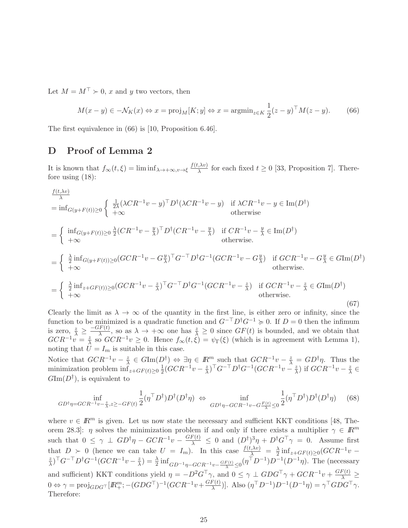Let  $M = M^{\top} \succ 0$ , x and y two vectors, then

$$
M(x - y) \in -\mathcal{N}_K(x) \Leftrightarrow x = \text{proj}_M[K; y] \Leftrightarrow x = \text{argmin}_{z \in K} \frac{1}{2} (z - y)^{\top} M(z - y). \tag{66}
$$

The first equivalence in (66) is [10, Proposition 6.46].

## D Proof of Lemma 2

It is known that  $f_{\infty}(t,\xi) = \liminf_{\lambda \to +\infty, v \to \xi} \frac{f(t,\lambda v)}{\lambda}$  $\frac{\partial \mathcal{A}}{\partial \lambda}$  for each fixed  $t \geq 0$  [33, Proposition 7]. Therefore using (18):

$$
\frac{f(t,\lambda v)}{\lambda} = \inf_{G(y+F(t))\geq 0} \left\{ \begin{array}{ll} \frac{1}{2\lambda} (\lambda CR^{-1}v - y)^{\top} D^{\dagger} (\lambda CR^{-1}v - y) & \text{if } \lambda CR^{-1}v - y \in \text{Im}(D^{\dagger}) \\ +\infty & \text{otherwise} \end{array} \right.
$$
\n
$$
= \left\{ \begin{array}{ll} \inf_{G(y+F(t))\geq 0} \frac{\lambda}{2} (CR^{-1}v - \frac{y}{\lambda})^{\top} D^{\dagger} (CR^{-1}v - \frac{y}{\lambda}) & \text{if } CR^{-1}v - \frac{y}{\lambda} \in \text{Im}(D^{\dagger}) \\ +\infty & \text{otherwise.} \end{array} \right.
$$
\n
$$
= \left\{ \begin{array}{ll} \frac{\lambda}{2} \inf_{G(y+F(t))\geq 0} (GCR^{-1}v - G_{\lambda}^y)^{\top} G^{-\top} D^{\dagger} G^{-1} (GCR^{-1}v - G_{\lambda}^y) & \text{if } GCR^{-1}v - G_{\lambda}^y \in G \text{Im}(D^{\dagger}) \\ +\infty & \text{otherwise.} \end{array} \right.
$$
\n
$$
= \left\{ \begin{array}{ll} \frac{\lambda}{2} \inf_{x+\langle GF(t)\rangle\geq 0} (GCR^{-1}v - \frac{z}{\lambda})^{\top} G^{-\top} D^{\dagger} G^{-1} (GCR^{-1}v - \frac{z}{\lambda}) & \text{if } GCR^{-1}v - \frac{z}{\lambda} \in G \text{Im}(D^{\dagger}) \\ +\infty & \text{otherwise.} \end{array} \right.
$$
\n(67)

Clearly the limit as  $\lambda \to \infty$  of the quantity in the first line, is either zero or infinity, since the function to be minimized is a quadratic function and  $G^{-\top}D^{\dagger}G^{-1} \geq 0$ . If  $D = 0$  then the infimum is zero,  $\frac{z}{\lambda} \geq \frac{-GF(t)}{\lambda}$ , so as  $\lambda \to +\infty$  one has  $\frac{z}{\lambda} \geq 0$  since  $GF(t)$  is bounded, and we obtain that  $GCR^{-1}v = \frac{z}{\lambda}$  $\frac{z}{\lambda}$  so  $GCR^{-1}v \geq 0$ . Hence  $f_{\infty}(t,\xi) = \psi_{\Gamma}(\xi)$  (which is in agreement with Lemma 1), noting that  $U = I_m$  is suitable in this case.

Notice that  $GCR^{-1}v - \frac{z}{\lambda}$  $\frac{z}{\lambda} \in G \text{Im}(D^{\dagger}) \Leftrightarrow \exists \eta \in \mathbb{R}^m$  such that  $GCR^{-1}v - \frac{z}{\lambda} = GD^{\dagger}\eta$ . Thus the minimization problem  $\inf_{z+GF(t)\geq 0} \frac{1}{2}$  $\frac{1}{2}(GCR^{-1}v-\frac{z}{\lambda})$  $(\frac{z}{\lambda})^{\top}G^{-\top}D^{\dagger}G^{-1}(GCR^{-1}v - \frac{z}{\lambda})$  $(\frac{z}{\lambda})$  if  $GCR^{-1}v - \frac{z}{\lambda}$  $\tilde{\overline{\lambda}} \in$  $G\mathrm{Im}(D^{\dagger})$ , is equivalent to

$$
GD^{\dagger} \eta = GCR^{-1}v - \frac{z}{\lambda}, z \ge -GF(t) \frac{1}{2} (\eta^{\top} D^{\dagger}) D^{\dagger} (D^{\dagger} \eta) \iff \inf_{GD^{\dagger} \eta - GCR^{-1}v - G\frac{F(t)}{\lambda} \le 0} \frac{1}{2} (\eta^{\top} D^{\dagger}) D^{\dagger} (D^{\dagger} \eta) \tag{68}
$$

where  $v \in \mathbb{R}^m$  is given. Let us now state the necessary and sufficient KKT conditions [48, Theorem 28.3]:  $\eta$  solves the minimization problem if and only if there exists a multiplier  $\gamma \in \mathbb{R}^m$ such that  $0 \leq \gamma \perp GD^{\dagger}\eta - GCR^{-1}v - \frac{GF(t)}{\lambda} \leq 0$  and  $(D^{\dagger})^3\eta + D^{\dagger}G^{\top}\gamma = 0$ . Assume first that  $D > 0$  (hence we can take  $U = I_m$ ). In this case  $\frac{f(t,\lambda v)}{\lambda} = \frac{\lambda}{2}$ 2 infz+GF(t)≥<sup>0</sup> (GCR−1<sup>v</sup> <sup>−</sup> z  $(\frac{z}{\lambda})^{\top}G^{-\top}D^{\dagger}G^{-1}(GCR^{-1}v-\frac{z}{\lambda})$  $\frac{z}{\lambda}$ ) =  $\frac{\lambda}{2}$  inf<sub>GD<sup>-1</sup> $\eta$ -GCR<sup>-1</sup> $v$ - $\frac{GF(t)}{\lambda}$   $\leq$ 0 $(\eta^{T}D^{-1})D^{-1}(D^{-1}\eta)$ . The (necessary</sub> and sufficient) KKT conditions yield  $\eta = -D^2 G^T \gamma$ , and  $0 \leq \gamma \perp G D G^T \gamma + G C R^{-1} v + \frac{G F(t)}{\lambda} \geq$  $0 \Leftrightarrow \gamma = \text{proj}_{GDG^{\top}}[I\!\!R^m_+; -(GDG^{\top})^{-1}(GCR^{-1}v + \frac{GF(t)}{\lambda})]$  $\left(\frac{F(t)}{\lambda}\right)$ ]. Also  $(\eta^{\top} D^{-1}) D^{-1} (D^{-1} \eta) = \gamma^{\top} G D G^{\top} \gamma$ . Therefore: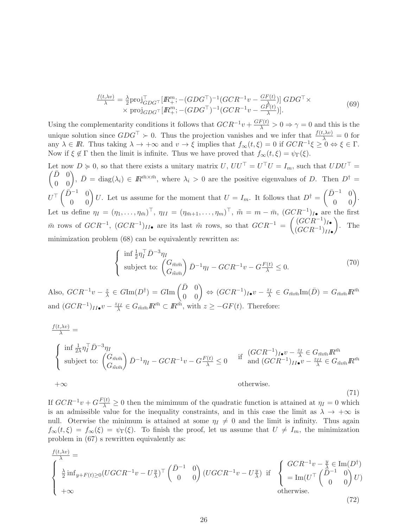$$
\frac{f(t,\lambda v)}{\lambda} = \frac{\lambda}{2} \text{proj}_{GDG}^{\top} [R_+^m; -(GDG^{\top})^{-1} (GCR^{-1}v - \frac{GF(t)}{\lambda})] GDG^{\top} \times \text{proj}_{GDG^{\top}} [R_+^m; -(GDG^{\top})^{-1} (GCR^{-1}v - \frac{GF(t)}{\lambda})]. \tag{69}
$$

Using the complementarity conditions it follows that  $GCR^{-1}v + \frac{GF(t)}{\lambda} > 0 \Rightarrow \gamma = 0$  and this is the unique solution since  $GDG^{\top} \succ 0$ . Thus the projection vanishes and we infer that  $\frac{f(t,\lambda v)}{\lambda} = 0$  for any  $\lambda \in \mathbb{R}$ . Thus taking  $\lambda \to +\infty$  and  $v \to \xi$  implies that  $f_{\infty}(t,\xi) = 0$  if  $GCR^{-1}\xi \geq 0 \Leftrightarrow \xi \in \Gamma$ . Now if  $\xi \notin \Gamma$  then the limit is infinite. Thus we have proved that  $f_{\infty}(t, \xi) = \psi_{\Gamma}(\xi)$ .

Let now  $D \ge 0$ , so that there exists a unitary matrix  $U, U U^{\top} = U^{\top} U = I_m$ , such that  $U D U^{\top} =$  $\begin{pmatrix} \bar{D} & 0 \\ 0 & 0 \end{pmatrix}$ ,  $\bar{D} = \text{diag}(\lambda_i) \in \mathbb{R}^{\bar{m} \times \bar{m}}$ , where  $\lambda_i > 0$  are the positive eigenvalues of D. Then  $D^{\dagger} =$  $U^{\top} \begin{pmatrix} \bar{D}^{-1} & 0 \\ 0 & 0 \end{pmatrix} U$ . Let us assume for the moment that  $U = I_m$ . It follows that  $D^{\dagger} =$  $\begin{pmatrix} \bar{D}^{-1} & 0 \\ 0 & 0 \end{pmatrix}.$ Let us define  $\eta_I = (\eta_1, \ldots, \eta_{\bar{m}})^\top$ ,  $\eta_{II} = (\eta_{\bar{m}+1}, \ldots, \eta_m)^\top$ ,  $\tilde{m} = m - \bar{m}$ ,  $(GCR^{-1})_{I \bullet}$  are the first  $\bar{m}$  rows of  $GCR^{-1}$ ,  $(GCR^{-1})_{II\bullet}$  are its last  $\tilde{m}$  rows, so that  $GCR^{-1} = \begin{pmatrix} (GCR^{-1})_{II\bullet} \\ (GCR^{-1})_{II\bullet} \end{pmatrix}$  $(GCR^{-1})_{II}$ •  $\setminus$ . The minimization problem (68) can be equivalently rewritten as:

$$
\begin{cases} \n\inf \frac{1}{2} \eta_I^{\top} \bar{D}^{-3} \eta_I \\ \n\text{subject to:} \n\left( \frac{G_{\bar{m}\bar{m}}}{G_{\bar{m}\bar{m}}} \right) \bar{D}^{-1} \eta_I - GCR^{-1} v - G \frac{F(t)}{\lambda} \leq 0. \n\end{cases} \n\tag{70}
$$

(71)

Also,  $GCR^{-1}v - \frac{z}{\lambda}$  $\frac{z}{\lambda}\,\in\, G\mathrm{Im}(D^\dagger)\,=\, G\mathrm{Im}\left(\begin{matrix}\bar D & 0 \ 0 & 0 \end{matrix}\right) \, \Leftrightarrow\, (GCR^{-1})_{I\bullet}v \,-\, \frac{z_I}{\lambda}\, \in\, G_{\bar m\bar m}\mathrm{Im}(\bar D)\,=\, G_{\bar m\bar m}I\!\!R^{\bar m}$ and  $(GCR^{-1})_{II} \bullet v - \frac{z_{II}}{\lambda} \in G_{\tilde{m}\bar{m}} \mathbb{R}^{\bar{m}} \subset \mathbb{R}^{\tilde{m}}$ , with  $z \geq -GF(t)$ . Therefore:

$$
\frac{f(t,\lambda v)}{\lambda} = \n\begin{cases}\n\inf \frac{1}{2\lambda} \eta_I^\top \bar{D}^{-3} \eta_I \\
\text{subject to: } \begin{pmatrix} G_{\bar{m}\bar{m}} \\ G_{\bar{m}\bar{m}} \end{pmatrix} \bar{D}^{-1} \eta_I - GCR^{-1}v - G\frac{F(t)}{\lambda} \leq 0 & \text{if } \int GCR^{-1} \eta_I v - \frac{z_I}{\lambda} \in G_{\bar{m}\bar{m}} \mathbb{R}^{\bar{m}} \\
\text{and } (GCR^{-1})_{II} v - \frac{z_{II}}{\lambda} \in G_{\bar{m}\bar{m}} \mathbb{R}^{\bar{m}} \\
+\infty & \text{otherwise.} \n\end{cases}
$$

If  $GCR^{-1}v + G\frac{F(t)}{\lambda} \ge 0$  then the mimimum of the quadratic function is attained at  $\eta_I = 0$  which is an admissible value for the inequality constraints, and in this case the limit as  $\lambda \to +\infty$  is null. Oterwise the minimum is attained at some  $\eta_I \neq 0$  and the limit is infinity. Thus again  $f_{\infty}(t,\xi) = f_{\infty}(\xi) = \psi_{\Gamma}(\xi)$ . To finish the proof, let us assume that  $U \neq I_m$ , the minimization problem in (67) s rewritten equivalently as:

$$
\begin{cases}\n\frac{f(t,\lambda v)}{\lambda} = \\
\frac{\lambda}{2} \inf_{y + F(t) \ge 0} (UGCR^{-1}v - U_{\lambda}^y)^\top \begin{pmatrix} \bar{D}^{-1} & 0 \\ 0 & 0 \end{pmatrix} (UGCR^{-1}v - U_{\lambda}^y) & \text{if } \begin{cases}\nGCR^{-1}v - \frac{y}{\lambda} \in \text{Im}(D^{\dagger}) \\
= \text{Im}(U^\top \begin{pmatrix} \bar{D}^{-1} & 0 \\ 0 & 0 \end{pmatrix} U) \\
\text{otherwise.} \n\end{cases}
$$
\n(72)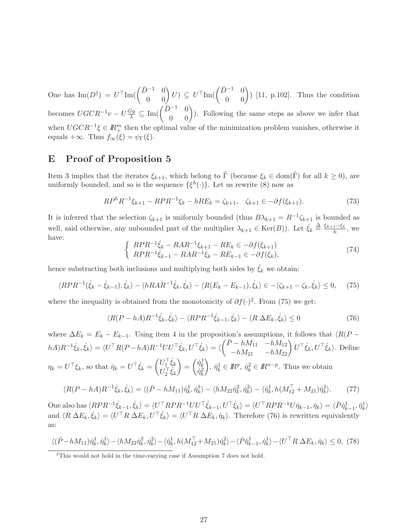One has  $\text{Im}(D^{\dagger}) = U^{\top} \text{Im}(\begin{pmatrix} \bar{D}^{-1} & 0 \\ 0 & 0 \end{pmatrix} U) \subseteq U^{\top} \text{Im}(\begin{pmatrix} \bar{D}^{-1} & 0 \\ 0 & 0 \end{pmatrix})$  [11, p.102]. Thus the condition becomes  $UGCR^{-1}v - U\frac{Gy}{\lambda} \subseteq \text{Im}(\begin{pmatrix} \bar{D}^{-1} & 0 \\ 0 & 0 \end{pmatrix})$ . Following the same steps as above we infer that when  $UGCR^{-1}\xi \in \mathbb{R}^m_+$  then the optimal value of the minimization problem vanishes, otherwise it equals +∞. Thus  $f_{\infty}(\xi) = \psi_{\Gamma}(\xi)$ .

## E Proof of Proposition 5

Item 3 implies that the iterates  $\xi_{k+1}$ , which belong to  $\tilde{\Gamma}$  (because  $\xi_k \in \text{dom}(\tilde{\Gamma})$  for all  $k \geq 0$ ), are uniformly bounded, and so is the sequence  $\{\xi^h(\cdot)\}\$ . Let us rewrite (8) now as

$$
RP^{h}R^{-1}\xi_{k+1} - RPR^{-1}\xi_{k} - hRE_{k} = \zeta_{k+1}, \quad \zeta_{k+1} \in -\partial f(\xi_{k+1}).
$$
\n(73)

It is inferred that the selection  $\zeta_{k+1}$  is uniformly bounded (thus  $B\lambda_{k+1} = R^{-1}\zeta_{k+1}$  is bounded as well, said otherwise, any unbounded part of the multiplier  $\lambda_{k+1} \in \text{Ker}(B)$ ). Let  $\dot{\xi}_k \stackrel{\Delta}{=} \frac{\xi_{k+1} - \xi_k}{h}$ , we have:

$$
\begin{cases}\nRPR^{-1}\dot{\xi}_k - RAR^{-1}\xi_{k+1} - RE_k \in -\partial f(\xi_{k+1}) \\
RPR^{-1}\dot{\xi}_{k-1} - RAR^{-1}\xi_k - RE_{k-1} \in -\partial f(\xi_k),\n\end{cases} (74)
$$

hence substracting both inclusions and multiplying both sides by  $\dot{\xi}_k$  we obtain:

$$
\langle RPR^{-1}(\dot{\xi}_k - \dot{\xi}_{k-1}), \dot{\xi}_k \rangle - \langle hRAR^{-1}\dot{\xi}_k, \dot{\xi}_k \rangle - \langle R(E_k - E_{k-1}), \dot{\xi}_k \rangle \in -\langle \zeta_{k+1} - \zeta_k, \dot{\xi}_k \rangle \le 0, \tag{75}
$$

where the inequality is obtained from the monotonicity of  $\partial f(\cdot)^2$ . From (75) we get:

$$
\langle R(P - hA)R^{-1}\dot{\xi}_k, \dot{\xi}_k \rangle - \langle RPR^{-1}\dot{\xi}_{k-1}, \dot{\xi}_k \rangle - \langle R \Delta E_k, \dot{\xi}_k \rangle \le 0 \tag{76}
$$

where  $\Delta E_k = E_k - E_{k-1}$ . Using item 4 in the proposition's assumptions, it follows that  $\langle R(P - \Delta E_k) \rangle$  $(hA)R^{-1}\dot{\xi}_k, \dot{\xi}_k \rangle = \langle U^\top R(P-hA)R^{-1}UU^\top \dot{\xi}_k, U^\top \dot{\xi}_k \rangle = \langle \begin{pmatrix} \bar{P}-hM_{11}&-hM_{12}\ -hM_{21}&-hM_{22} \end{pmatrix}$  $U^{\top} \dot{\xi}_k, U^{\top} \dot{\xi}_k$ . Define  $\eta_k = U^\top \xi_k$ , so that  $\dot{\eta}_k = U^\top \dot{\xi}_k = \begin{pmatrix} U_1^\top \dot{\xi}_k \\ I_1^\top \dot{\xi}_k \end{pmatrix}$  $U_2^\top \dot{\xi}_k$  $\setminus$ =  $\begin{pmatrix} \dot{\eta}_k^1 \\ \dot{\eta}_k^2 \end{pmatrix}$  $\setminus$ ,  $\dot{\eta}_k^1 \in \mathbb{R}^p$ ,  $\dot{\eta}_k^2 \in \mathbb{R}^{n-p}$ . Thus we obtain  $\langle R(P - hA)R^{-1}\dot{\xi}_k, \dot{\xi}_k \rangle = \langle (\bar{P} - hM_{11})\dot{\eta}_k^1, \dot{\eta}_k^1 \rangle - \langle hM_{22}\dot{\eta}_k^2, \dot{\eta}_k^2 \rangle - \langle \dot{\eta}_k^1, h(M_{12}^{\top} + M_{21})\dot{\eta}_k^2 \rangle$  $(77)$ 

One also has  $\langle RPR^{-1} \dot{\xi}_{k-1}, \dot{\xi}_k \rangle = \langle U^\top RPR^{-1} U U^\top \dot{\xi}_{k-1}, U^\top \dot{\xi}_k \rangle = \langle U^\top RPR^{-1} U \dot{\eta}_{k-1}, \dot{\eta}_k \rangle = \langle \bar{P} \dot{\eta}_{k-1}^1, \dot{\eta}_k^1 \rangle$ and  $\langle R \Delta E_k, \dot{\xi}_k \rangle = \langle U^\top R \Delta E_k, U^\top \dot{\xi}_k \rangle = \langle U^\top R \Delta E_k, \dot{\eta}_k \rangle$ . Therefore (76) is rewritten equivalently as:

$$
\langle (\bar{P} - hM_{11})\dot{\eta}_k^1, \dot{\eta}_k^1 \rangle - \langle hM_{22}\dot{\eta}_k^2, \dot{\eta}_k^2 \rangle - \langle \dot{\eta}_k^1, h(M_{12}^\top + M_{21})\dot{\eta}_k^2 \rangle - \langle \bar{P}\dot{\eta}_{k-1}^1, \dot{\eta}_k^1 \rangle - \langle U^\top R \Delta E_k, \dot{\eta}_k \rangle \le 0, (78)
$$

<sup>&</sup>lt;sup>2</sup>This would not hold in the time-varying case if Assumption 7 does not hold.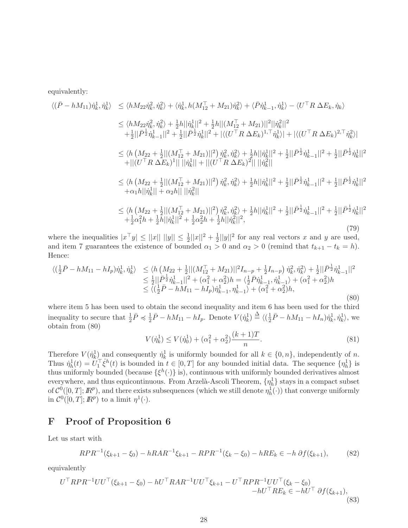equivalently:

$$
\langle (\bar{P} - hM_{11})\dot{\eta}_{k}^{1}, \dot{\eta}_{k}^{1} \rangle \leq \langle hM_{22}\dot{\eta}_{k}^{2}, \dot{\eta}_{k}^{2} \rangle + \langle \dot{\eta}_{k}^{1}, h(M_{12}^{T} + M_{21})\dot{\eta}_{k}^{2} \rangle + \langle \bar{P}\dot{\eta}_{k-1}^{1}, \dot{\eta}_{k}^{1} \rangle - \langle U^{T}R \Delta E_{k}, \dot{\eta}_{k} \rangle
$$
  
\n
$$
\leq \langle hM_{22}\dot{\eta}_{k}^{2}, \dot{\eta}_{k}^{2} \rangle + \frac{1}{2}h||\dot{\eta}_{k}^{1}||^{2} + \frac{1}{2}h||(M_{12}^{T} + M_{21})||^{2}||\dot{\eta}_{k}^{2}||^{2}
$$
  
\n
$$
+ \frac{1}{2}||\bar{P}^{\frac{1}{2}}\dot{\eta}_{k-1}^{1}||^{2} + \frac{1}{2}||\bar{P}^{\frac{1}{2}}\dot{\eta}_{k}^{1}||^{2} + |\langle (U^{T}R \Delta E_{k})^{1,T} \dot{\eta}_{k}^{1} \rangle| + |\langle (U^{T}R \Delta E_{k})^{2,T} \dot{\eta}_{k}^{2} \rangle|
$$
  
\n
$$
\leq \langle h(M_{22} + \frac{1}{2}||(M_{12}^{T} + M_{21})||^{2})\dot{\eta}_{k}^{2}, \dot{\eta}_{k}^{2} \rangle + \frac{1}{2}h||\dot{\eta}_{k}^{1}||^{2} + \frac{1}{2}||\bar{P}^{\frac{1}{2}}\dot{\eta}_{k-1}^{1}||^{2} + \frac{1}{2}||\bar{P}^{\frac{1}{2}}\dot{\eta}_{k}^{1}||^{2}
$$
  
\n
$$
+ ||(U^{T}R \Delta E_{k})^{1}|| ||\dot{\eta}_{k}^{1}|| + ||(U^{T}R \Delta E_{k})^{2}|| ||\dot{\eta}_{k}^{2}||
$$
  
\n
$$
\leq \langle h(M_{22} + \frac{1}{2}||(M_{12}^{T} + M_{21})||^{2})\dot{\eta}_{k}^{2}, \dot{\eta}_{k}^{2} \rangle + \frac{1}{2}h||\dot{\eta}_{k}^{1}||^{2} + \frac{
$$

where the inequalities  $|x^{\top}y| \leq ||x|| \, ||y|| \leq \frac{1}{2}||x||^2 + \frac{1}{2}$  $\frac{1}{2}||y||^2$  for any real vectors x and y are used, and item 7 guarantees the existence of bounded  $\alpha_1 > 0$  and  $\alpha_2 > 0$  (remind that  $t_{k+1} - t_k = h$ ). Hence:

$$
\langle (\frac{1}{2}\bar{P} - hM_{11} - hI_p)\dot{\eta}_k^1, \dot{\eta}_k^1 \rangle \le \langle h \left( M_{22} + \frac{1}{2} ||(M_{12}^\top + M_{21})||^2 I_{n-p} + \frac{1}{2}I_{n-p} \right) \dot{\eta}_k^2, \dot{\eta}_k^2 \rangle + \frac{1}{2} ||\bar{P}^{\frac{1}{2}} \dot{\eta}_{k-1}^1||^2 \le \frac{1}{2} ||\bar{P}^{\frac{1}{2}} \dot{\eta}_{k-1}^1||^2 + (\alpha_1^2 + \alpha_2^2)h = \langle \frac{1}{2}\bar{P}\dot{\eta}_{k-1}^1, \dot{\eta}_{k-1}^1 \rangle + (\alpha_1^2 + \alpha_2^2)h \le \langle (\frac{1}{2}\bar{P} - hM_{11} - hI_p)\dot{\eta}_{k-1}^1, \eta_{k-1}^1 \rangle + (\alpha_1^2 + \alpha_2^2)h,
$$
\n(80)

where item 5 has been used to obtain the second inequality and item 6 has been used for the third inequality to secure that  $\frac{1}{2}\bar{P} \preccurlyeq \frac{1}{2}$  $\frac{1}{2}\bar{P} - hM_{11} - hI_p$ . Denote  $V(\dot{\eta}_k^1) \stackrel{\Delta}{=} \langle (\frac{1}{2}, \frac{1}{2}, \frac{1}{2}, \frac{1}{2}, \frac{1}{2}, \frac{1}{2}, \frac{1}{2}, \frac{1}{2}, \frac{1}{2}, \frac{1}{2}, \frac{1}{2}, \frac{1}{2}, \frac{1}{2}, \frac{1}{2}, \frac{1}{2}, \frac{1}{2}, \frac{1}{2}, \frac{1}{2}, \frac{1}{2}, \frac{1}{2}, \frac{1}{2}, \frac{1}{2}, \frac{1}{2}, \frac{1}{2},$  $\frac{1}{2}\bar{P} - hM_{11} - hI_n)\dot{\eta}_k^1, \dot{\eta}_k^1\rangle$ , we obtain from (80)

$$
V(\dot{\eta}_k^1) \le V(\dot{\eta}_0^1) + (\alpha_1^2 + \alpha_2^2) \frac{(k+1)T}{n}.
$$
\n(81)

Therefore  $V(\eta_k^1)$  and consequently  $\eta_k^1$  is uniformly bounded for all  $k \in \{0, n\}$ , independently of n. Thus  $\eta_h^1(t) = U_1^{\top} \xi^h(t)$  is bounded in  $t \in [0, T]$  for any bounded initial data. The sequence  $\{\eta_h^1\}$  is thus uniformly bounded (because  $\{\xi^h(\cdot)\}\$ is), continuous with uniformly bounded derivatives almost everywhere, and thus equicontinuous. From Arzelà-Ascoli Theorem,  $\{\eta_h^1\}$  stays in a compact subset of  $\mathcal{C}^0([0,T];\mathbb{R}^p)$ , and there exists subsequences (which we still denote  $\eta^{\hat{1}}_h(\cdot)$ ) that converge uniformly in  $\mathcal{C}^0([0,T];\mathbb{R}^p)$  to a limit  $\eta^1(\cdot)$ .

## F Proof of Proposition 6

Let us start with

$$
RPR^{-1}(\xi_{k+1} - \xi_0) - hRAR^{-1}\xi_{k+1} - RPR^{-1}(\xi_k - \xi_0) - hRE_k \in -h \partial f(\xi_{k+1}),\tag{82}
$$

equivalently

$$
U^{\top}RPR^{-1}UU^{\top}(\xi_{k+1}-\xi_{0})-hU^{\top}RAR^{-1}UU^{\top}\xi_{k+1}-U^{\top}RPR^{-1}UU^{\top}(\xi_{k}-\xi_{0})-hU^{\top}RE_{k}\in-hU^{\top}\partial f(\xi_{k+1}),
$$
\n(83)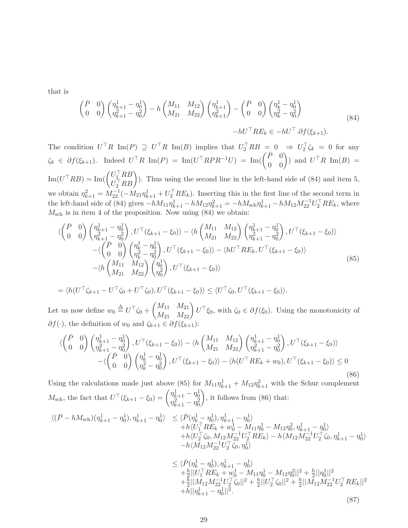that is

$$
\begin{pmatrix}\n\bar{P} & 0 \\
0 & 0\n\end{pmatrix}\n\begin{pmatrix}\n\eta_{k+1}^1 - \eta_0^1 \\
\eta_{k+1}^2 - \eta_0^2\n\end{pmatrix} - h \begin{pmatrix}\nM_{11} & M_{12} \\
M_{21} & M_{22}\n\end{pmatrix}\n\begin{pmatrix}\n\eta_{k+1}^1 \\
\eta_{k+1}^2\n\end{pmatrix} - \begin{pmatrix}\n\bar{P} & 0 \\
0 & 0\n\end{pmatrix}\n\begin{pmatrix}\n\eta_k^1 - \eta_0^1 \\
\eta_k^2 - \eta_0^2\n\end{pmatrix} \\
-hU^\top RE_k \in -hU^\top \partial f(\xi_{k+1}).
$$
\n(84)

The condition  $U^{\dagger}R \text{ Im}(P) \supseteq U^{\dagger}R \text{ Im}(B)$  implies that  $U_2^{\dagger}RB = 0 \Rightarrow U_2^{\dagger}\zeta_k = 0$  for any  $\zeta_k \in \partial f(\xi_{k+1})$ . Indeed  $U^{\top}R \text{ Im}(P) = \text{Im}(U^{\top}RPR^{-1}U) = \text{Im}(\begin{pmatrix} \bar{P} & 0 \\ 0 & 0 \end{pmatrix})$  and  $U^{\top}R \text{ Im}(B) =$  $\text{Im}(U^\top R B) = \text{Im}(\begin{pmatrix} U_1^\top R B \\ U_1^\top R B \end{pmatrix})$  $U_1^{\top}RB\n<sub>2</sub>^{-}RB$ ). Thus using the second line in the left-hand side of (84) and item 5, we obtain  $\eta_{k+1}^2 = M_{22}^{-1}(-M_{21}\eta_{k+1}^1 + U_2^{\top}RE_k)$ . Inserting this in the first line of the second term in the left-hand side of (84) gives  $-hM_{11}\eta_{k+1}^1 - hM_{12}\eta_{k+1}^2 = -hM_{\text{sch}}\eta_{k+1}^1 - hM_{12}M_{22}^{-1}U_2^{\top}RE_k$ , where  $M<sub>sch</sub>$  is in item 4 of the proposition. Now using  $(84)$  we obtain:

$$
\langle \begin{pmatrix} \bar{P} & 0 \\ 0 & 0 \end{pmatrix} \begin{pmatrix} \eta_{k+1}^1 - \eta_0^1 \\ \eta_{k+1}^2 - \eta_0^2 \end{pmatrix}, U^\top (\xi_{k+1} - \xi_0) \rangle - \langle h \begin{pmatrix} M_{11} & M_{12} \\ M_{21} & M_{22} \end{pmatrix} \begin{pmatrix} \eta_{k+1}^1 - \eta_0^1 \\ \eta_{k+1}^2 - \eta_0^2 \end{pmatrix}, U^\top (\xi_{k+1} - \xi_0) \rangle -\langle \begin{pmatrix} \bar{P} & 0 \\ 0 & 0 \end{pmatrix} \begin{pmatrix} \eta_k^1 - \eta_0^1 \\ \eta_k^2 - \eta_0^2 \end{pmatrix}, U^\top (\xi_{k+1} - \xi_0) \rangle - \langle hU^\top RE_k, U^\top (\xi_{k+1} - \xi_0) \rangle -\langle h \begin{pmatrix} M_{11} & M_{12} \\ M_{21} & M_{22} \end{pmatrix} \begin{pmatrix} \eta_0^1 \\ \eta_0^2 \end{pmatrix}, U^\top (\xi_{k+1} - \xi_0) \rangle
$$
\n(85)

$$
= \langle h(U^\top \zeta_{k+1} - U^\top \zeta_0 + U^\top \zeta_0), U^\top (\xi_{k+1} - \xi_0) \rangle \le \langle U^\top \zeta_0, U^\top (\xi_{k+1} - \xi_0) \rangle.
$$

Let us now define  $w_0 \stackrel{\Delta}{=} U^{\top} \zeta_0 +$  $\begin{pmatrix} M_{11} & M_{21} \\ M_{21} & M_{22} \end{pmatrix} U^{\top} \xi_0$ , with  $\zeta_0 \in \partial f(\xi_0)$ . Using the monotonicity of  $\partial f(\cdot)$ , the definition of  $w_0$  and  $\zeta_{k+1} \in \partial f(\xi_{k+1})$ :

$$
\langle \begin{pmatrix} \bar{P} & 0 \\ 0 & 0 \end{pmatrix} \begin{pmatrix} \eta_{k+1}^1 - \eta_0^1 \\ \eta_{k+1}^2 - \eta_0^2 \end{pmatrix}, U^\top(\xi_{k+1} - \xi_0) \rangle - \langle h \begin{pmatrix} M_{11} & M_{12} \\ M_{21} & M_{22} \end{pmatrix} \begin{pmatrix} \eta_{k+1}^1 - \eta_0^1 \\ \eta_{k+1}^2 - \eta_0^2 \end{pmatrix}, U^\top(\xi_{k+1} - \xi_0) \rangle -\langle \begin{pmatrix} \bar{P} & 0 \\ 0 & 0 \end{pmatrix} \begin{pmatrix} \eta_k^1 - \eta_0^1 \\ \eta_k^2 - \eta_0^2 \end{pmatrix}, U^\top(\xi_{k+1} - \xi_0) \rangle - \langle h(U^\top RE_k + w_0), U^\top(\xi_{k+1} - \xi_0) \rangle \le 0
$$
\n(86)

Using the calculations made just above (85) for  $M_{11}\eta_{k+1}^1 + M_{12}\eta_{k+1}^2$  with the Schur complement  $M_{\text{sch}}$ , the fact that  $U^{\top}(\xi_{k+1} - \xi_0) = \begin{pmatrix} \eta_{k+1}^1 - \eta_0^1 \\ \eta_{k+1}^2 - \eta_0^2 \end{pmatrix}$  $\eta_{k+1}^2 - \eta_0^2$  $\setminus$ , it follows from (86) that:

$$
\langle (\bar{P} - hM_{\text{sch}})(\eta_{k+1}^1 - \eta_0^1), \eta_{k+1}^1 - \eta_0^1 \rangle \leq \langle \bar{P}(\eta_k^1 - \eta_0^1), \eta_{k+1}^1 - \eta_0^1 \rangle + h \langle U_1^\top R E_k + w_0^1 - M_{11} \eta_0^1 - M_{12} \eta_0^2, \eta_{k+1}^1 - \eta_0^1 \rangle + h \langle U_1^\top S_0, M_{12} M_{22}^{-1} U_2^\top R E_k \rangle - h \langle M_{12} M_{22}^{-1} U_2^\top \zeta_0, \eta_{k+1}^1 - \eta_0^1 \rangle - h \langle M_{12} M_{22}^{-1} U_2^\top \zeta_0, \eta_0^1 \rangle
$$
  

$$
< \langle \bar{P}(\eta_1^1 - \eta_1^1), \eta_1^1 - \eta_1^1 \rangle
$$

$$
\leq \langle \bar{P}(\eta_k^1 - \eta_0^1), \eta_{k+1}^1 - \eta_0^1 \rangle \n+ \frac{h}{2} ||U_1^\top R E_k + w_0^1 - M_{11} \eta_0^1 - M_{12} \eta_0^2||^2 + \frac{h}{2} ||\eta_0^1||^2 \n+ \frac{h}{2} ||M_{12} M_{22}^{-1} U_2^\top \zeta_0||^2 + \frac{h}{2} ||U_2^\top \zeta_0||^2 + \frac{h}{2} ||M_{12} M_{22}^{-1} U_2^\top R E_k||^2 \n+ h ||\eta_{k+1}^1 - \eta_0^1||^2.
$$
\n(87)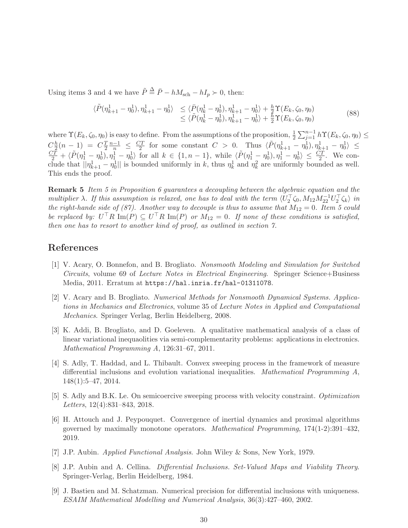Using items 3 and 4 we have  $\tilde{P} \stackrel{\Delta}{=} \bar{P} - hM_{\text{sch}} - hI_p \succ 0$ , then:

$$
\langle \tilde{P}(\eta_{k+1}^1 - \eta_0^1), \eta_{k+1}^1 - \eta_0^1 \rangle \leq \langle \bar{P}(\eta_k^1 - \eta_0^1), \eta_{k+1}^1 - \eta_0^1 \rangle + \frac{h}{2} \Upsilon(E_k, \zeta_0, \eta_0) \leq \langle \tilde{P}(\eta_k^1 - \eta_0^1), \eta_{k+1}^1 - \eta_0^1 \rangle + \frac{h}{2} \Upsilon(E_k, \zeta_0, \eta_0)
$$
\n(88)

where  $\Upsilon(E_k, \zeta_0, \eta_0)$  is easy to define. From the assumptions of the proposition,  $\frac{1}{2} \sum_{j=1}^{n-1} h\Upsilon(E_k, \zeta_0, \eta_0) \leq$  $C_{\frac{h}{2}}^h$  $\frac{h}{2}(n-1) = C\frac{T}{2}$  $\frac{T}{2} \frac{n-1}{n} \leq \frac{CT}{2}$  $C_{\frac{\pi}{2}}^{\frac{h}{2}}(n-1) = C_{\frac{\pi}{2}}^{\frac{n-1}{n}} \leq \frac{CT}{2}$  for some constant  $C > 0$ . Thus  $\langle \tilde{P}(\eta_{k+1}^1 - \eta_0^1), \eta_{k+1}^1 - \eta_0^1 \rangle \leq \frac{CT}{2} + \langle \tilde{P}(\eta_1^1 - \eta_0^1), \eta_1^1 - \eta_0^1 \rangle$  for all  $k \in \{1, n-1\}$ , while  $\langle \tilde{P}(\eta_$ clude that  $||\eta_{k+1}^1 - \eta_0^1||$  is bounded uniformly in k, thus  $\eta_k^1$  and  $\eta_k^2$  are uniformly bounded as well. This ends the proof.

Remark 5 Item 5 in Proposition 6 guarantees a decoupling between the algebraic equation and the multiplier  $\lambda$ . If this assumption is relaxed, one has to deal with the term  $\langle U_2^{\top} \zeta_0, M_{12} M_{22}^{-1} U_2^{\top} \zeta_k \rangle$  in the right-hande side of (87). Another way to decouple is thus to assume that  $M_{12} = 0$ . Item 5 could be replaced by:  $U^{\dagger}R \text{Im}(P) \subseteq U^{\dagger}R \text{Im}(P)$  or  $M_{12} = 0$ . If none of these conditions is satisfied, then one has to resort to another kind of proof, as outlined in section 7.

## References

- [1] V. Acary, O. Bonnefon, and B. Brogliato. Nonsmooth Modeling and Simulation for Switched Circuits, volume 69 of Lecture Notes in Electrical Engineering. Springer Science+Business Media, 2011. Erratum at https://hal.inria.fr/hal-01311078.
- [2] V. Acary and B. Brogliato. Numerical Methods for Nonsmooth Dynamical Systems. Applications in Mechanics and Electronics, volume 35 of Lecture Notes in Applied and Computational Mechanics. Springer Verlag, Berlin Heidelberg, 2008.
- [3] K. Addi, B. Brogliato, and D. Goeleven. A qualitative mathematical analysis of a class of linear variational inequaolities via semi-complementarity problems: applications in electronics. Mathematical Programming A, 126:31–67, 2011.
- [4] S. Adly, T. Haddad, and L. Thibault. Convex sweeping process in the framework of measure differential inclusions and evolution variational inequalities. Mathematical Programming A, 148(1):5–47, 2014.
- [5] S. Adly and B.K. Le. On semicoercive sweeping process with velocity constraint. Optimization Letters, 12(4):831–843, 2018.
- [6] H. Attouch and J. Peypouquet. Convergence of inertial dynamics and proximal algorithms governed by maximally monotone operators. Mathematical Programming, 174(1-2):391–432, 2019.
- [7] J.P. Aubin. Applied Functional Analysis. John Wiley & Sons, New York, 1979.
- [8] J.P. Aubin and A. Cellina. Differential Inclusions. Set-Valued Maps and Viability Theory. Springer-Verlag, Berlin Heidelberg, 1984.
- [9] J. Bastien and M. Schatzman. Numerical precision for differential inclusions with uniqueness. ESAIM Mathematical Modelling and Numerical Analysis, 36(3):427–460, 2002.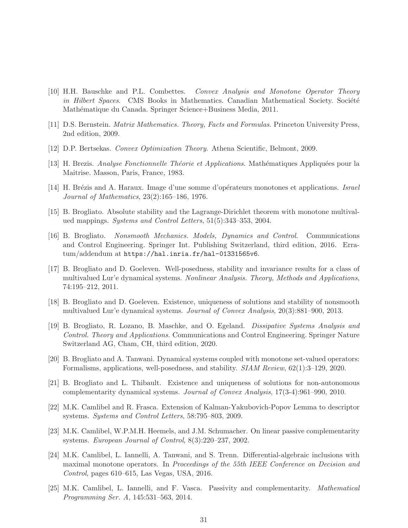- [10] H.H. Bauschke and P.L. Combettes. Convex Analysis and Monotone Operator Theory in Hilbert Spaces. CMS Books in Mathematics. Canadian Mathematical Society. Société Mathématique du Canada. Springer Science+Business Media, 2011.
- [11] D.S. Bernstein. Matrix Mathematics. Theory, Facts and Formulas. Princeton University Press, 2nd edition, 2009.
- [12] D.P. Bertsekas. Convex Optimization Theory. Athena Scientific, Belmont, 2009.
- [13] H. Brezis. *Analyse Fonctionnelle Théorie et Applications*. Mathématiques Appliquées pour la Maitrise. Masson, Paris, France, 1983.
- [14] H. Brézis and A. Haraux. Image d'une somme d'opérateurs monotones et applications. Israel Journal of Mathematics, 23(2):165–186, 1976.
- [15] B. Brogliato. Absolute stability and the Lagrange-Dirichlet theorem with monotone multivalued mappings. Systems and Control Letters, 51(5):343–353, 2004.
- [16] B. Brogliato. Nonsmooth Mechanics. Models, Dynamics and Control. Communications and Control Engineering. Springer Int. Publishing Switzerland, third edition, 2016. Erratum/addendum at https://hal.inria.fr/hal-01331565v6.
- [17] B. Brogliato and D. Goeleven. Well-posedness, stability and invariance results for a class of multivalued Lur'e dynamical systems. Nonlinear Analysis. Theory, Methods and Applications, 74:195–212, 2011.
- [18] B. Brogliato and D. Goeleven. Existence, uniqueness of solutions and stability of nonsmooth multivalued Lur'e dynamical systems. Journal of Convex Analysis, 20(3):881–900, 2013.
- [19] B. Brogliato, R. Lozano, B. Maschke, and O. Egeland. Dissipative Systems Analysis and Control. Theory and Applications. Communications and Control Engineering. Springer Nature Switzerland AG, Cham, CH, third edition, 2020.
- [20] B. Brogliato and A. Tanwani. Dynamical systems coupled with monotone set-valued operators: Formalisms, applications, well-posedness, and stability. SIAM Review, 62(1):3–129, 2020.
- [21] B. Brogliato and L. Thibault. Existence and uniqueness of solutions for non-autonomous complementarity dynamical systems. Journal of Convex Analysis, 17(3-4):961–990, 2010.
- [22] M.K. Camlibel and R. Frasca. Extension of Kalman-Yakubovich-Popov Lemma to descriptor systems. Systems and Control Letters, 58:795–803, 2009.
- [23] M.K. Camlibel, W.P.M.H. Heemels, and J.M. Schumacher. On linear passive complementarity systems. European Journal of Control, 8(3):220–237, 2002.
- [24] M.K. Camlibel, L. Iannelli, A. Tanwani, and S. Trenn. Differential-algebraic inclusions with maximal monotone operators. In Proceedings of the 55th IEEE Conference on Decision and Control, pages 610–615, Las Vegas, USA, 2016.
- [25] M.K. Camlibel, L. Iannelli, and F. Vasca. Passivity and complementarity. Mathematical Programming Ser. A, 145:531–563, 2014.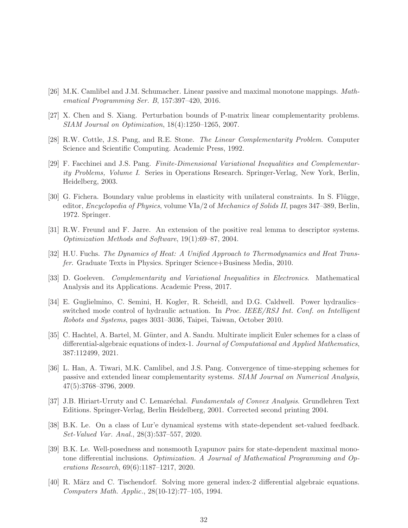- [26] M.K. Camlibel and J.M. Schumacher. Linear passive and maximal monotone mappings. Mathematical Programming Ser. B, 157:397–420, 2016.
- [27] X. Chen and S. Xiang. Perturbation bounds of P-matrix linear complementarity problems. SIAM Journal on Optimization, 18(4):1250–1265, 2007.
- [28] R.W. Cottle, J.S. Pang, and R.E. Stone. The Linear Complementarity Problem. Computer Science and Scientific Computing. Academic Press, 1992.
- [29] F. Facchinei and J.S. Pang. Finite-Dimensional Variational Inequalities and Complementarity Problems, Volume I. Series in Operations Research. Springer-Verlag, New York, Berlin, Heidelberg, 2003.
- [30] G. Fichera. Boundary value problems in elasticity with unilateral constraints. In S. Flügge, editor, Encyclopedia of Physics, volume VIa/2 of Mechanics of Solids II, pages 347–389, Berlin, 1972. Springer.
- [31] R.W. Freund and F. Jarre. An extension of the positive real lemma to descriptor systems. Optimization Methods and Software, 19(1):69–87, 2004.
- [32] H.U. Fuchs. The Dynamics of Heat: A Unified Approach to Thermodynamics and Heat Transfer. Graduate Texts in Physics. Springer Science+Business Media, 2010.
- [33] D. Goeleven. Complementarity and Variational Inequalities in Electronics. Mathematical Analysis and its Applications. Academic Press, 2017.
- [34] E. Guglielmino, C. Semini, H. Kogler, R. Scheidl, and D.G. Caldwell. Power hydraulics– switched mode control of hydraulic actuation. In Proc. IEEE/RSJ Int. Conf. on Intelligent Robots and Systems, pages 3031–3036, Taipei, Taiwan, October 2010.
- [35] C. Hachtel, A. Bartel, M. Günter, and A. Sandu. Multirate implicit Euler schemes for a class of differential-algebraic equations of index-1. Journal of Computational and Applied Mathematics, 387:112499, 2021.
- [36] L. Han, A. Tiwari, M.K. Camlibel, and J.S. Pang. Convergence of time-stepping schemes for passive and extended linear complementarity systems. SIAM Journal on Numerical Analysis, 47(5):3768–3796, 2009.
- [37] J.B. Hiriart-Urruty and C. Lemaréchal. Fundamentals of Convex Analysis. Grundlehren Text Editions. Springer-Verlag, Berlin Heidelberg, 2001. Corrected second printing 2004.
- [38] B.K. Le. On a class of Lur'e dynamical systems with state-dependent set-valued feedback. Set-Valued Var. Anal., 28(3):537–557, 2020.
- [39] B.K. Le. Well-posedness and nonsmooth Lyapunov pairs for state-dependent maximal monotone differential inclusions. Optimization. A Journal of Mathematical Programming and Operations Research, 69(6):1187–1217, 2020.
- [40] R. März and C. Tischendorf. Solving more general index-2 differential algebraic equations. Computers Math. Applic., 28(10-12):77–105, 1994.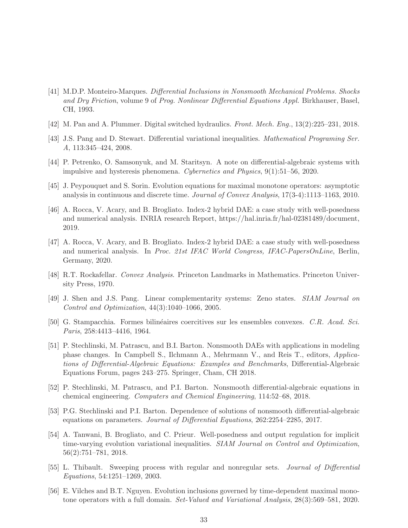- [41] M.D.P. Monteiro-Marques. Differential Inclusions in Nonsmooth Mechanical Problems. Shocks and Dry Friction, volume 9 of Prog. Nonlinear Differential Equations Appl. Birkhauser, Basel, CH, 1993.
- [42] M. Pan and A. Plummer. Digital switched hydraulics. Front. Mech. Eng., 13(2):225–231, 2018.
- [43] J.S. Pang and D. Stewart. Differential variational inequalities. Mathematical Programing Ser. A, 113:345–424, 2008.
- [44] P. Petrenko, O. Samsonyuk, and M. Staritsyn. A note on differential-algebraic systems with impulsive and hysteresis phenomena. Cybernetics and Physics, 9(1):51–56, 2020.
- [45] J. Peypouquet and S. Sorin. Evolution equations for maximal monotone operators: asymptotic analysis in continuous and discrete time. Journal of Convex Analysis, 17(3-4):1113–1163, 2010.
- [46] A. Rocca, V. Acary, and B. Brogliato. Index-2 hybrid DAE: a case study with well-posedness and numerical analysis. INRIA research Report, https://hal.inria.fr/hal-02381489/document, 2019.
- [47] A. Rocca, V. Acary, and B. Brogliato. Index-2 hybrid DAE: a case study with well-posedness and numerical analysis. In Proc. 21st IFAC World Congress, IFAC-PapersOnLine, Berlin, Germany, 2020.
- [48] R.T. Rockafellar. Convex Analysis. Princeton Landmarks in Mathematics. Princeton University Press, 1970.
- [49] J. Shen and J.S. Pang. Linear complementarity systems: Zeno states. SIAM Journal on Control and Optimization, 44(3):1040–1066, 2005.
- [50] G. Stampacchia. Formes bilinéaires coercitives sur les ensembles convexes. C.R. Acad. Sci. Paris, 258:4413–4416, 1964.
- [51] P. Stechlinski, M. Patrascu, and B.I. Barton. Nonsmooth DAEs with applications in modeling phase changes. In Campbell S., Ilchmann A., Mehrmann V., and Reis T., editors, Applications of Differential-Algebraic Equations: Examples and Benchmarks, Differential-Algebraic Equations Forum, pages 243–275. Springer, Cham, CH 2018.
- [52] P. Stechlinski, M. Patrascu, and P.I. Barton. Nonsmooth differential-algebraic equations in chemical engineering. Computers and Chemical Engineering, 114:52–68, 2018.
- [53] P.G. Stechlinski and P.I. Barton. Dependence of solutions of nonsmooth differential-algebraic equations on parameters. Journal of Differential Equations, 262:2254–2285, 2017.
- [54] A. Tanwani, B. Brogliato, and C. Prieur. Well-posedness and output regulation for implicit time-varying evolution variational inequalities. SIAM Journal on Control and Optimization, 56(2):751–781, 2018.
- [55] L. Thibault. Sweeping process with regular and nonregular sets. Journal of Differential Equations, 54:1251–1269, 2003.
- [56] E. Vilches and B.T. Nguyen. Evolution inclusions governed by time-dependent maximal monotone operators with a full domain. Set-Valued and Variational Analysis, 28(3):569–581, 2020.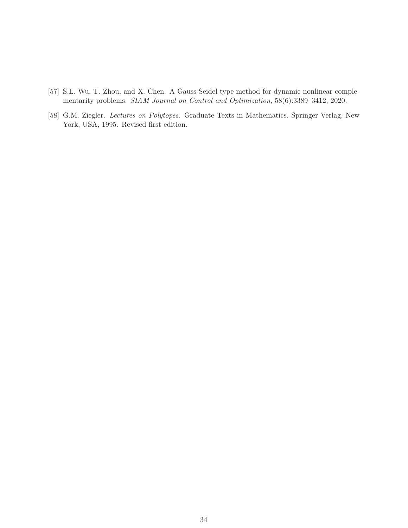- [57] S.L. Wu, T. Zhou, and X. Chen. A Gauss-Seidel type method for dynamic nonlinear complementarity problems. SIAM Journal on Control and Optimization, 58(6):3389–3412, 2020.
- [58] G.M. Ziegler. Lectures on Polytopes. Graduate Texts in Mathematics. Springer Verlag, New York, USA, 1995. Revised first edition.